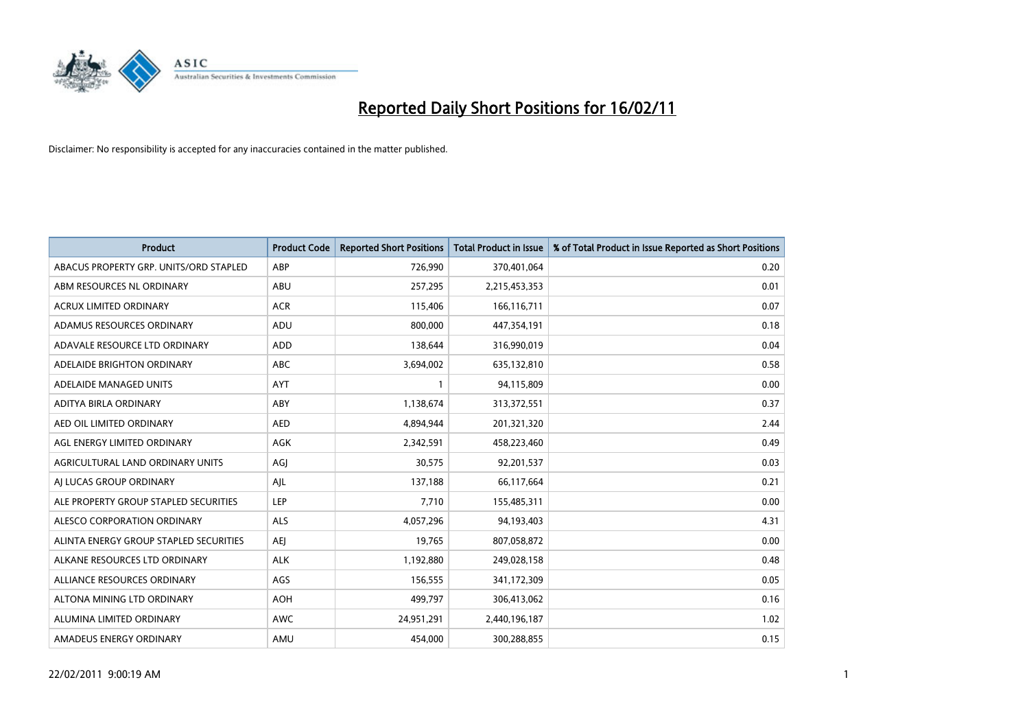

| <b>Product</b>                         | <b>Product Code</b> | <b>Reported Short Positions</b> | <b>Total Product in Issue</b> | % of Total Product in Issue Reported as Short Positions |
|----------------------------------------|---------------------|---------------------------------|-------------------------------|---------------------------------------------------------|
| ABACUS PROPERTY GRP. UNITS/ORD STAPLED | ABP                 | 726,990                         | 370,401,064                   | 0.20                                                    |
| ABM RESOURCES NL ORDINARY              | <b>ABU</b>          | 257,295                         | 2,215,453,353                 | 0.01                                                    |
| <b>ACRUX LIMITED ORDINARY</b>          | <b>ACR</b>          | 115,406                         | 166,116,711                   | 0.07                                                    |
| ADAMUS RESOURCES ORDINARY              | ADU                 | 800,000                         | 447,354,191                   | 0.18                                                    |
| ADAVALE RESOURCE LTD ORDINARY          | <b>ADD</b>          | 138.644                         | 316,990,019                   | 0.04                                                    |
| ADELAIDE BRIGHTON ORDINARY             | <b>ABC</b>          | 3,694,002                       | 635,132,810                   | 0.58                                                    |
| ADELAIDE MANAGED UNITS                 | <b>AYT</b>          |                                 | 94,115,809                    | 0.00                                                    |
| ADITYA BIRLA ORDINARY                  | ABY                 | 1,138,674                       | 313,372,551                   | 0.37                                                    |
| AED OIL LIMITED ORDINARY               | <b>AED</b>          | 4,894,944                       | 201,321,320                   | 2.44                                                    |
| AGL ENERGY LIMITED ORDINARY            | <b>AGK</b>          | 2,342,591                       | 458,223,460                   | 0.49                                                    |
| AGRICULTURAL LAND ORDINARY UNITS       | AGJ                 | 30,575                          | 92,201,537                    | 0.03                                                    |
| AI LUCAS GROUP ORDINARY                | AJL                 | 137,188                         | 66,117,664                    | 0.21                                                    |
| ALE PROPERTY GROUP STAPLED SECURITIES  | LEP                 | 7,710                           | 155,485,311                   | 0.00                                                    |
| ALESCO CORPORATION ORDINARY            | <b>ALS</b>          | 4,057,296                       | 94,193,403                    | 4.31                                                    |
| ALINTA ENERGY GROUP STAPLED SECURITIES | <b>AEI</b>          | 19,765                          | 807,058,872                   | 0.00                                                    |
| ALKANE RESOURCES LTD ORDINARY          | <b>ALK</b>          | 1,192,880                       | 249,028,158                   | 0.48                                                    |
| ALLIANCE RESOURCES ORDINARY            | AGS                 | 156,555                         | 341,172,309                   | 0.05                                                    |
| ALTONA MINING LTD ORDINARY             | <b>AOH</b>          | 499,797                         | 306,413,062                   | 0.16                                                    |
| ALUMINA LIMITED ORDINARY               | <b>AWC</b>          | 24,951,291                      | 2,440,196,187                 | 1.02                                                    |
| AMADEUS ENERGY ORDINARY                | AMU                 | 454.000                         | 300,288,855                   | 0.15                                                    |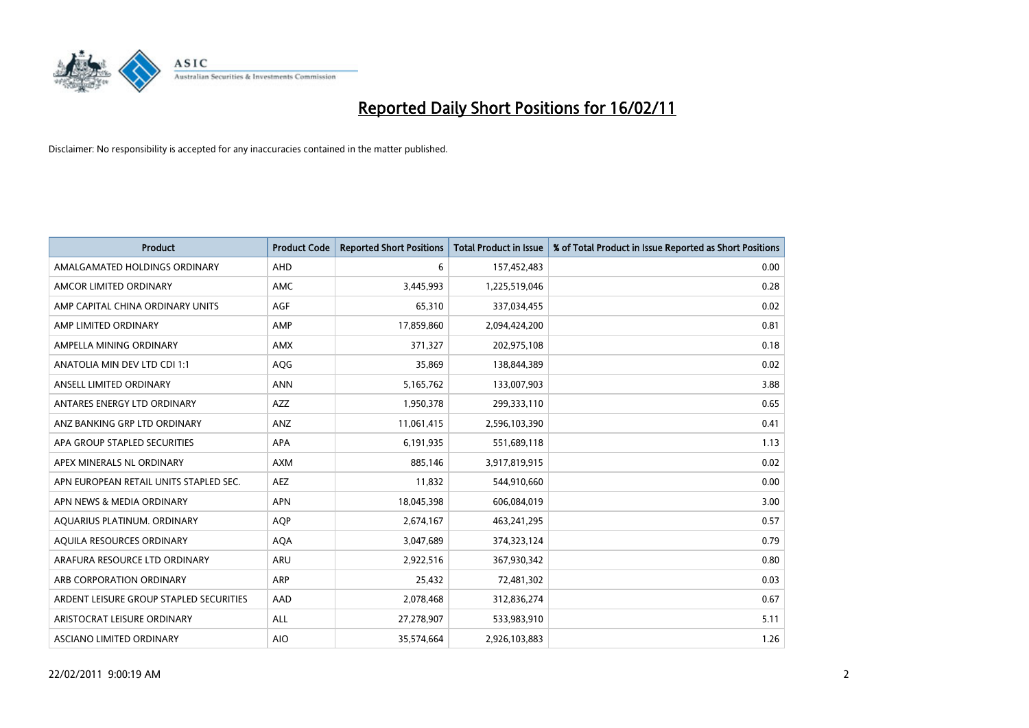

| Product                                 | <b>Product Code</b> | <b>Reported Short Positions</b> | <b>Total Product in Issue</b> | % of Total Product in Issue Reported as Short Positions |
|-----------------------------------------|---------------------|---------------------------------|-------------------------------|---------------------------------------------------------|
| AMALGAMATED HOLDINGS ORDINARY           | AHD                 | 6                               | 157,452,483                   | 0.00                                                    |
| AMCOR LIMITED ORDINARY                  | <b>AMC</b>          | 3,445,993                       | 1,225,519,046                 | 0.28                                                    |
| AMP CAPITAL CHINA ORDINARY UNITS        | <b>AGF</b>          | 65,310                          | 337,034,455                   | 0.02                                                    |
| AMP LIMITED ORDINARY                    | AMP                 | 17,859,860                      | 2,094,424,200                 | 0.81                                                    |
| AMPELLA MINING ORDINARY                 | <b>AMX</b>          | 371,327                         | 202,975,108                   | 0.18                                                    |
| ANATOLIA MIN DEV LTD CDI 1:1            | AQG                 | 35,869                          | 138,844,389                   | 0.02                                                    |
| ANSELL LIMITED ORDINARY                 | <b>ANN</b>          | 5,165,762                       | 133,007,903                   | 3.88                                                    |
| ANTARES ENERGY LTD ORDINARY             | <b>AZZ</b>          | 1,950,378                       | 299,333,110                   | 0.65                                                    |
| ANZ BANKING GRP LTD ORDINARY            | ANZ                 | 11,061,415                      | 2,596,103,390                 | 0.41                                                    |
| APA GROUP STAPLED SECURITIES            | <b>APA</b>          | 6,191,935                       | 551,689,118                   | 1.13                                                    |
| APEX MINERALS NL ORDINARY               | <b>AXM</b>          | 885,146                         | 3,917,819,915                 | 0.02                                                    |
| APN EUROPEAN RETAIL UNITS STAPLED SEC.  | AEZ                 | 11,832                          | 544,910,660                   | 0.00                                                    |
| APN NEWS & MEDIA ORDINARY               | <b>APN</b>          | 18,045,398                      | 606,084,019                   | 3.00                                                    |
| AQUARIUS PLATINUM. ORDINARY             | <b>AOP</b>          | 2,674,167                       | 463,241,295                   | 0.57                                                    |
| AQUILA RESOURCES ORDINARY               | <b>AQA</b>          | 3,047,689                       | 374,323,124                   | 0.79                                                    |
| ARAFURA RESOURCE LTD ORDINARY           | <b>ARU</b>          | 2,922,516                       | 367,930,342                   | 0.80                                                    |
| ARB CORPORATION ORDINARY                | ARP                 | 25,432                          | 72,481,302                    | 0.03                                                    |
| ARDENT LEISURE GROUP STAPLED SECURITIES | AAD                 | 2,078,468                       | 312,836,274                   | 0.67                                                    |
| ARISTOCRAT LEISURE ORDINARY             | ALL                 | 27,278,907                      | 533,983,910                   | 5.11                                                    |
| ASCIANO LIMITED ORDINARY                | <b>AIO</b>          | 35,574,664                      | 2,926,103,883                 | 1.26                                                    |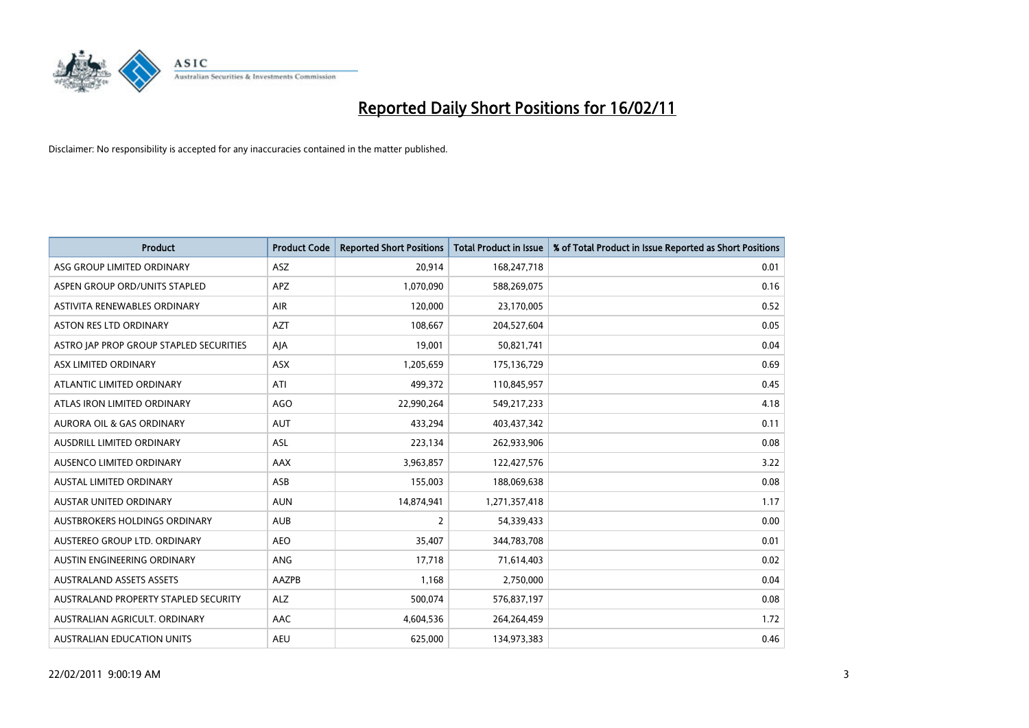

| <b>Product</b>                          | <b>Product Code</b> | <b>Reported Short Positions</b> | Total Product in Issue | % of Total Product in Issue Reported as Short Positions |
|-----------------------------------------|---------------------|---------------------------------|------------------------|---------------------------------------------------------|
| ASG GROUP LIMITED ORDINARY              | <b>ASZ</b>          | 20,914                          | 168,247,718            | 0.01                                                    |
| ASPEN GROUP ORD/UNITS STAPLED           | <b>APZ</b>          | 1,070,090                       | 588,269,075            | 0.16                                                    |
| ASTIVITA RENEWABLES ORDINARY            | <b>AIR</b>          | 120,000                         | 23,170,005             | 0.52                                                    |
| ASTON RES LTD ORDINARY                  | <b>AZT</b>          | 108,667                         | 204,527,604            | 0.05                                                    |
| ASTRO IAP PROP GROUP STAPLED SECURITIES | AJA                 | 19.001                          | 50,821,741             | 0.04                                                    |
| ASX LIMITED ORDINARY                    | ASX                 | 1,205,659                       | 175,136,729            | 0.69                                                    |
| ATLANTIC LIMITED ORDINARY               | ATI                 | 499,372                         | 110,845,957            | 0.45                                                    |
| ATLAS IRON LIMITED ORDINARY             | <b>AGO</b>          | 22,990,264                      | 549,217,233            | 4.18                                                    |
| AURORA OIL & GAS ORDINARY               | <b>AUT</b>          | 433,294                         | 403,437,342            | 0.11                                                    |
| AUSDRILL LIMITED ORDINARY               | <b>ASL</b>          | 223,134                         | 262,933,906            | 0.08                                                    |
| AUSENCO LIMITED ORDINARY                | AAX                 | 3,963,857                       | 122,427,576            | 3.22                                                    |
| <b>AUSTAL LIMITED ORDINARY</b>          | ASB                 | 155,003                         | 188,069,638            | 0.08                                                    |
| <b>AUSTAR UNITED ORDINARY</b>           | <b>AUN</b>          | 14,874,941                      | 1,271,357,418          | 1.17                                                    |
| AUSTBROKERS HOLDINGS ORDINARY           | <b>AUB</b>          | $\overline{2}$                  | 54,339,433             | 0.00                                                    |
| AUSTEREO GROUP LTD. ORDINARY            | <b>AEO</b>          | 35,407                          | 344,783,708            | 0.01                                                    |
| AUSTIN ENGINEERING ORDINARY             | ANG                 | 17,718                          | 71,614,403             | 0.02                                                    |
| <b>AUSTRALAND ASSETS ASSETS</b>         | AAZPB               | 1,168                           | 2,750,000              | 0.04                                                    |
| AUSTRALAND PROPERTY STAPLED SECURITY    | <b>ALZ</b>          | 500,074                         | 576,837,197            | 0.08                                                    |
| AUSTRALIAN AGRICULT, ORDINARY           | AAC                 | 4,604,536                       | 264,264,459            | 1.72                                                    |
| AUSTRALIAN EDUCATION UNITS              | <b>AEU</b>          | 625.000                         | 134,973,383            | 0.46                                                    |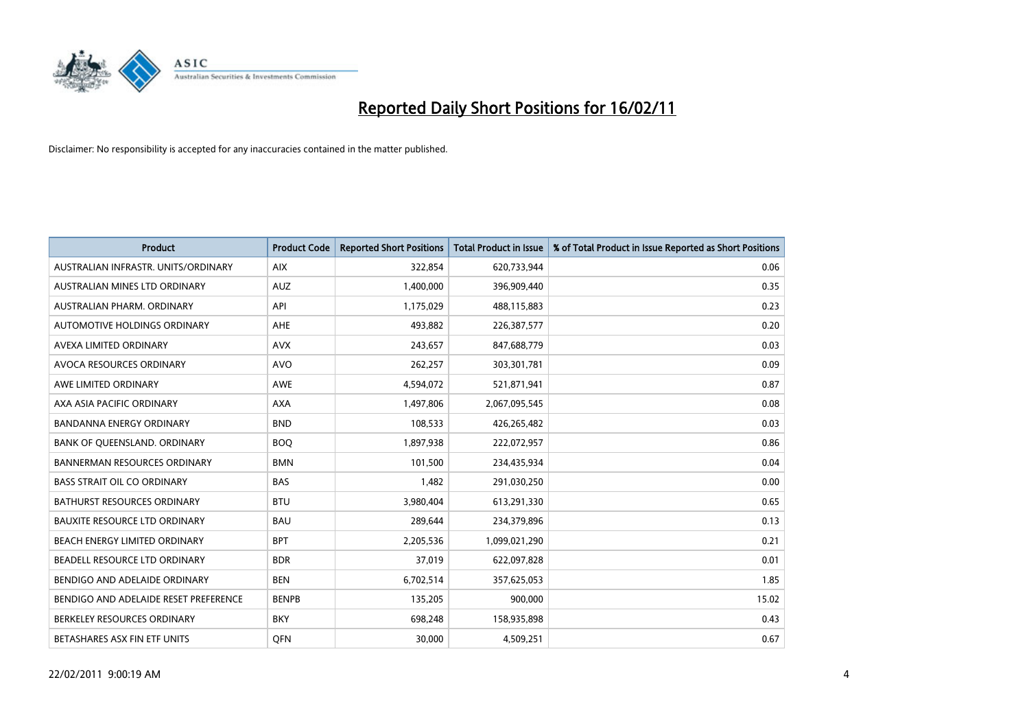

| <b>Product</b>                        | <b>Product Code</b> | <b>Reported Short Positions</b> | <b>Total Product in Issue</b> | % of Total Product in Issue Reported as Short Positions |
|---------------------------------------|---------------------|---------------------------------|-------------------------------|---------------------------------------------------------|
| AUSTRALIAN INFRASTR. UNITS/ORDINARY   | <b>AIX</b>          | 322,854                         | 620,733,944                   | 0.06                                                    |
| AUSTRALIAN MINES LTD ORDINARY         | <b>AUZ</b>          | 1,400,000                       | 396,909,440                   | 0.35                                                    |
| AUSTRALIAN PHARM, ORDINARY            | API                 | 1,175,029                       | 488,115,883                   | 0.23                                                    |
| AUTOMOTIVE HOLDINGS ORDINARY          | <b>AHE</b>          | 493,882                         | 226,387,577                   | 0.20                                                    |
| AVEXA LIMITED ORDINARY                | <b>AVX</b>          | 243,657                         | 847,688,779                   | 0.03                                                    |
| AVOCA RESOURCES ORDINARY              | <b>AVO</b>          | 262,257                         | 303,301,781                   | 0.09                                                    |
| AWE LIMITED ORDINARY                  | <b>AWE</b>          | 4,594,072                       | 521,871,941                   | 0.87                                                    |
| AXA ASIA PACIFIC ORDINARY             | <b>AXA</b>          | 1,497,806                       | 2,067,095,545                 | 0.08                                                    |
| <b>BANDANNA ENERGY ORDINARY</b>       | <b>BND</b>          | 108,533                         | 426,265,482                   | 0.03                                                    |
| BANK OF QUEENSLAND. ORDINARY          | <b>BOQ</b>          | 1,897,938                       | 222,072,957                   | 0.86                                                    |
| <b>BANNERMAN RESOURCES ORDINARY</b>   | <b>BMN</b>          | 101,500                         | 234,435,934                   | 0.04                                                    |
| <b>BASS STRAIT OIL CO ORDINARY</b>    | <b>BAS</b>          | 1,482                           | 291,030,250                   | 0.00                                                    |
| BATHURST RESOURCES ORDINARY           | <b>BTU</b>          | 3,980,404                       | 613,291,330                   | 0.65                                                    |
| <b>BAUXITE RESOURCE LTD ORDINARY</b>  | <b>BAU</b>          | 289,644                         | 234,379,896                   | 0.13                                                    |
| BEACH ENERGY LIMITED ORDINARY         | <b>BPT</b>          | 2,205,536                       | 1,099,021,290                 | 0.21                                                    |
| BEADELL RESOURCE LTD ORDINARY         | <b>BDR</b>          | 37,019                          | 622,097,828                   | 0.01                                                    |
| BENDIGO AND ADELAIDE ORDINARY         | <b>BEN</b>          | 6,702,514                       | 357,625,053                   | 1.85                                                    |
| BENDIGO AND ADELAIDE RESET PREFERENCE | <b>BENPB</b>        | 135,205                         | 900,000                       | 15.02                                                   |
| BERKELEY RESOURCES ORDINARY           | <b>BKY</b>          | 698,248                         | 158,935,898                   | 0.43                                                    |
| BETASHARES ASX FIN ETF UNITS          | <b>OFN</b>          | 30,000                          | 4,509,251                     | 0.67                                                    |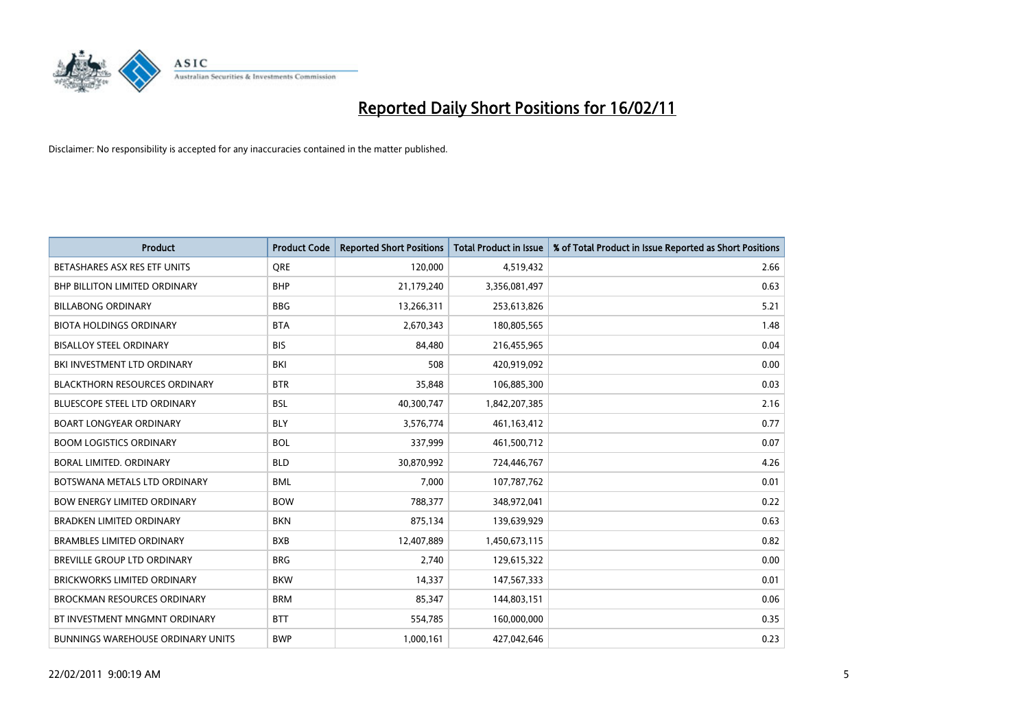

| Product                                  | <b>Product Code</b> | <b>Reported Short Positions</b> | <b>Total Product in Issue</b> | % of Total Product in Issue Reported as Short Positions |
|------------------------------------------|---------------------|---------------------------------|-------------------------------|---------------------------------------------------------|
| BETASHARES ASX RES ETF UNITS             | <b>ORE</b>          | 120,000                         | 4,519,432                     | 2.66                                                    |
| BHP BILLITON LIMITED ORDINARY            | <b>BHP</b>          | 21,179,240                      | 3,356,081,497                 | 0.63                                                    |
| <b>BILLABONG ORDINARY</b>                | <b>BBG</b>          | 13,266,311                      | 253,613,826                   | 5.21                                                    |
| <b>BIOTA HOLDINGS ORDINARY</b>           | <b>BTA</b>          | 2,670,343                       | 180,805,565                   | 1.48                                                    |
| <b>BISALLOY STEEL ORDINARY</b>           | <b>BIS</b>          | 84,480                          | 216,455,965                   | 0.04                                                    |
| BKI INVESTMENT LTD ORDINARY              | <b>BKI</b>          | 508                             | 420,919,092                   | 0.00                                                    |
| <b>BLACKTHORN RESOURCES ORDINARY</b>     | <b>BTR</b>          | 35,848                          | 106,885,300                   | 0.03                                                    |
| <b>BLUESCOPE STEEL LTD ORDINARY</b>      | <b>BSL</b>          | 40,300,747                      | 1,842,207,385                 | 2.16                                                    |
| <b>BOART LONGYEAR ORDINARY</b>           | <b>BLY</b>          | 3,576,774                       | 461,163,412                   | 0.77                                                    |
| <b>BOOM LOGISTICS ORDINARY</b>           | <b>BOL</b>          | 337,999                         | 461,500,712                   | 0.07                                                    |
| BORAL LIMITED. ORDINARY                  | <b>BLD</b>          | 30,870,992                      | 724,446,767                   | 4.26                                                    |
| BOTSWANA METALS LTD ORDINARY             | <b>BML</b>          | 7,000                           | 107,787,762                   | 0.01                                                    |
| <b>BOW ENERGY LIMITED ORDINARY</b>       | <b>BOW</b>          | 788,377                         | 348,972,041                   | 0.22                                                    |
| <b>BRADKEN LIMITED ORDINARY</b>          | <b>BKN</b>          | 875,134                         | 139,639,929                   | 0.63                                                    |
| <b>BRAMBLES LIMITED ORDINARY</b>         | <b>BXB</b>          | 12,407,889                      | 1,450,673,115                 | 0.82                                                    |
| BREVILLE GROUP LTD ORDINARY              | <b>BRG</b>          | 2,740                           | 129,615,322                   | 0.00                                                    |
| <b>BRICKWORKS LIMITED ORDINARY</b>       | <b>BKW</b>          | 14,337                          | 147,567,333                   | 0.01                                                    |
| <b>BROCKMAN RESOURCES ORDINARY</b>       | <b>BRM</b>          | 85,347                          | 144,803,151                   | 0.06                                                    |
| BT INVESTMENT MNGMNT ORDINARY            | <b>BTT</b>          | 554,785                         | 160,000,000                   | 0.35                                                    |
| <b>BUNNINGS WAREHOUSE ORDINARY UNITS</b> | <b>BWP</b>          | 1,000,161                       | 427,042,646                   | 0.23                                                    |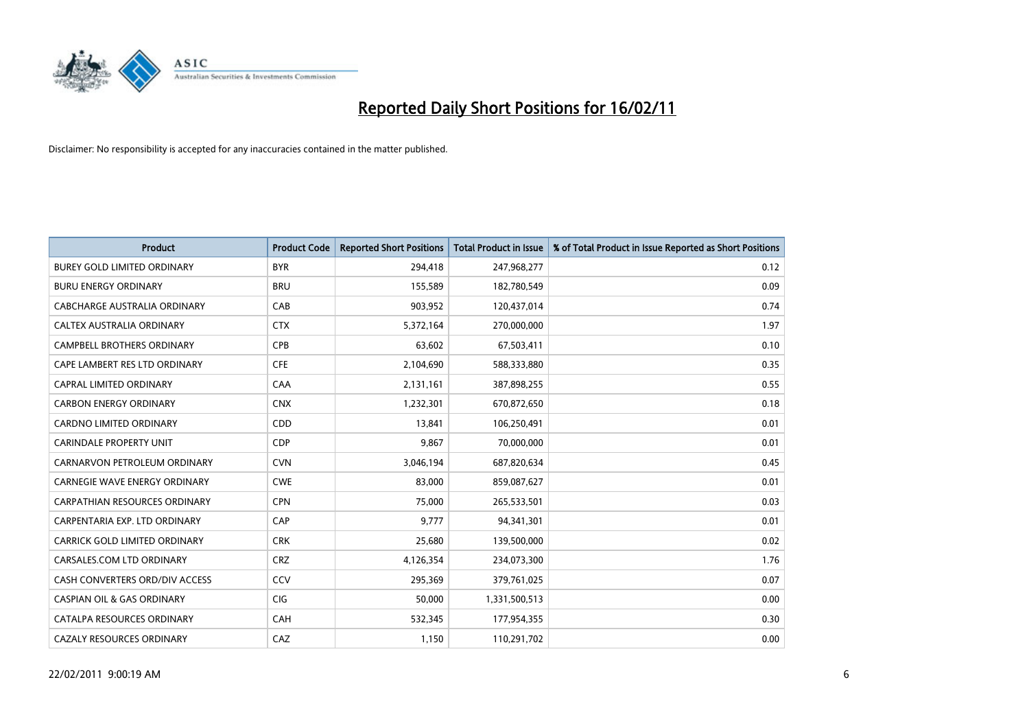

| <b>Product</b>                        | <b>Product Code</b> | <b>Reported Short Positions</b> | <b>Total Product in Issue</b> | % of Total Product in Issue Reported as Short Positions |
|---------------------------------------|---------------------|---------------------------------|-------------------------------|---------------------------------------------------------|
| <b>BUREY GOLD LIMITED ORDINARY</b>    | <b>BYR</b>          | 294,418                         | 247,968,277                   | 0.12                                                    |
| <b>BURU ENERGY ORDINARY</b>           | <b>BRU</b>          | 155,589                         | 182,780,549                   | 0.09                                                    |
| CABCHARGE AUSTRALIA ORDINARY          | CAB                 | 903,952                         | 120,437,014                   | 0.74                                                    |
| CALTEX AUSTRALIA ORDINARY             | <b>CTX</b>          | 5,372,164                       | 270,000,000                   | 1.97                                                    |
| <b>CAMPBELL BROTHERS ORDINARY</b>     | <b>CPB</b>          | 63,602                          | 67,503,411                    | 0.10                                                    |
| CAPE LAMBERT RES LTD ORDINARY         | <b>CFE</b>          | 2,104,690                       | 588,333,880                   | 0.35                                                    |
| CAPRAL LIMITED ORDINARY               | CAA                 | 2,131,161                       | 387,898,255                   | 0.55                                                    |
| <b>CARBON ENERGY ORDINARY</b>         | <b>CNX</b>          | 1,232,301                       | 670,872,650                   | 0.18                                                    |
| CARDNO LIMITED ORDINARY               | CDD                 | 13,841                          | 106,250,491                   | 0.01                                                    |
| <b>CARINDALE PROPERTY UNIT</b>        | <b>CDP</b>          | 9,867                           | 70,000,000                    | 0.01                                                    |
| CARNARVON PETROLEUM ORDINARY          | <b>CVN</b>          | 3,046,194                       | 687,820,634                   | 0.45                                                    |
| <b>CARNEGIE WAVE ENERGY ORDINARY</b>  | <b>CWE</b>          | 83,000                          | 859,087,627                   | 0.01                                                    |
| <b>CARPATHIAN RESOURCES ORDINARY</b>  | <b>CPN</b>          | 75,000                          | 265,533,501                   | 0.03                                                    |
| CARPENTARIA EXP. LTD ORDINARY         | CAP                 | 9,777                           | 94,341,301                    | 0.01                                                    |
| CARRICK GOLD LIMITED ORDINARY         | <b>CRK</b>          | 25,680                          | 139,500,000                   | 0.02                                                    |
| CARSALES.COM LTD ORDINARY             | <b>CRZ</b>          | 4,126,354                       | 234,073,300                   | 1.76                                                    |
| CASH CONVERTERS ORD/DIV ACCESS        | CCV                 | 295,369                         | 379,761,025                   | 0.07                                                    |
| <b>CASPIAN OIL &amp; GAS ORDINARY</b> | <b>CIG</b>          | 50,000                          | 1,331,500,513                 | 0.00                                                    |
| CATALPA RESOURCES ORDINARY            | CAH                 | 532,345                         | 177,954,355                   | 0.30                                                    |
| <b>CAZALY RESOURCES ORDINARY</b>      | CAZ                 | 1,150                           | 110,291,702                   | 0.00                                                    |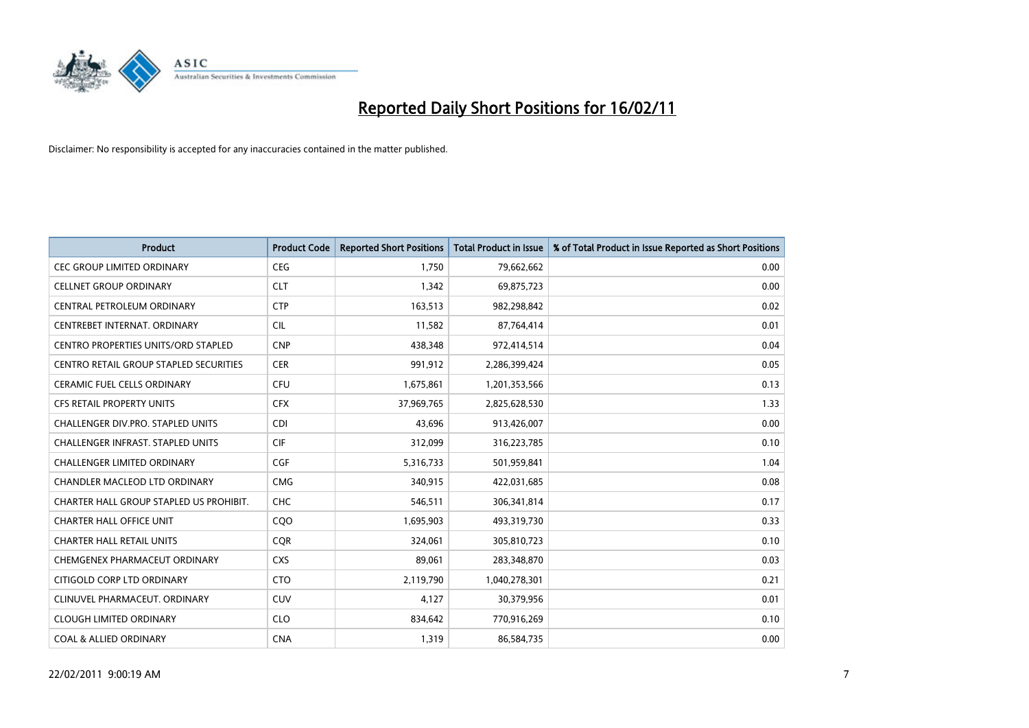

| <b>Product</b>                                | <b>Product Code</b> | <b>Reported Short Positions</b> | Total Product in Issue | % of Total Product in Issue Reported as Short Positions |
|-----------------------------------------------|---------------------|---------------------------------|------------------------|---------------------------------------------------------|
| <b>CEC GROUP LIMITED ORDINARY</b>             | <b>CEG</b>          | 1,750                           | 79,662,662             | 0.00                                                    |
| <b>CELLNET GROUP ORDINARY</b>                 | <b>CLT</b>          | 1,342                           | 69,875,723             | 0.00                                                    |
| CENTRAL PETROLEUM ORDINARY                    | <b>CTP</b>          | 163,513                         | 982,298,842            | 0.02                                                    |
| CENTREBET INTERNAT. ORDINARY                  | <b>CIL</b>          | 11,582                          | 87,764,414             | 0.01                                                    |
| CENTRO PROPERTIES UNITS/ORD STAPLED           | <b>CNP</b>          | 438,348                         | 972,414,514            | 0.04                                                    |
| <b>CENTRO RETAIL GROUP STAPLED SECURITIES</b> | <b>CER</b>          | 991,912                         | 2,286,399,424          | 0.05                                                    |
| <b>CERAMIC FUEL CELLS ORDINARY</b>            | <b>CFU</b>          | 1,675,861                       | 1,201,353,566          | 0.13                                                    |
| <b>CFS RETAIL PROPERTY UNITS</b>              | <b>CFX</b>          | 37,969,765                      | 2,825,628,530          | 1.33                                                    |
| CHALLENGER DIV.PRO. STAPLED UNITS             | <b>CDI</b>          | 43,696                          | 913,426,007            | 0.00                                                    |
| CHALLENGER INFRAST. STAPLED UNITS             | <b>CIF</b>          | 312,099                         | 316,223,785            | 0.10                                                    |
| <b>CHALLENGER LIMITED ORDINARY</b>            | <b>CGF</b>          | 5,316,733                       | 501,959,841            | 1.04                                                    |
| CHANDLER MACLEOD LTD ORDINARY                 | <b>CMG</b>          | 340,915                         | 422,031,685            | 0.08                                                    |
| CHARTER HALL GROUP STAPLED US PROHIBIT.       | <b>CHC</b>          | 546,511                         | 306,341,814            | 0.17                                                    |
| <b>CHARTER HALL OFFICE UNIT</b>               | COO                 | 1,695,903                       | 493,319,730            | 0.33                                                    |
| <b>CHARTER HALL RETAIL UNITS</b>              | <b>CQR</b>          | 324,061                         | 305,810,723            | 0.10                                                    |
| CHEMGENEX PHARMACEUT ORDINARY                 | <b>CXS</b>          | 89,061                          | 283,348,870            | 0.03                                                    |
| CITIGOLD CORP LTD ORDINARY                    | <b>CTO</b>          | 2,119,790                       | 1,040,278,301          | 0.21                                                    |
| CLINUVEL PHARMACEUT. ORDINARY                 | <b>CUV</b>          | 4,127                           | 30,379,956             | 0.01                                                    |
| <b>CLOUGH LIMITED ORDINARY</b>                | <b>CLO</b>          | 834,642                         | 770,916,269            | 0.10                                                    |
| <b>COAL &amp; ALLIED ORDINARY</b>             | <b>CNA</b>          | 1,319                           | 86,584,735             | 0.00                                                    |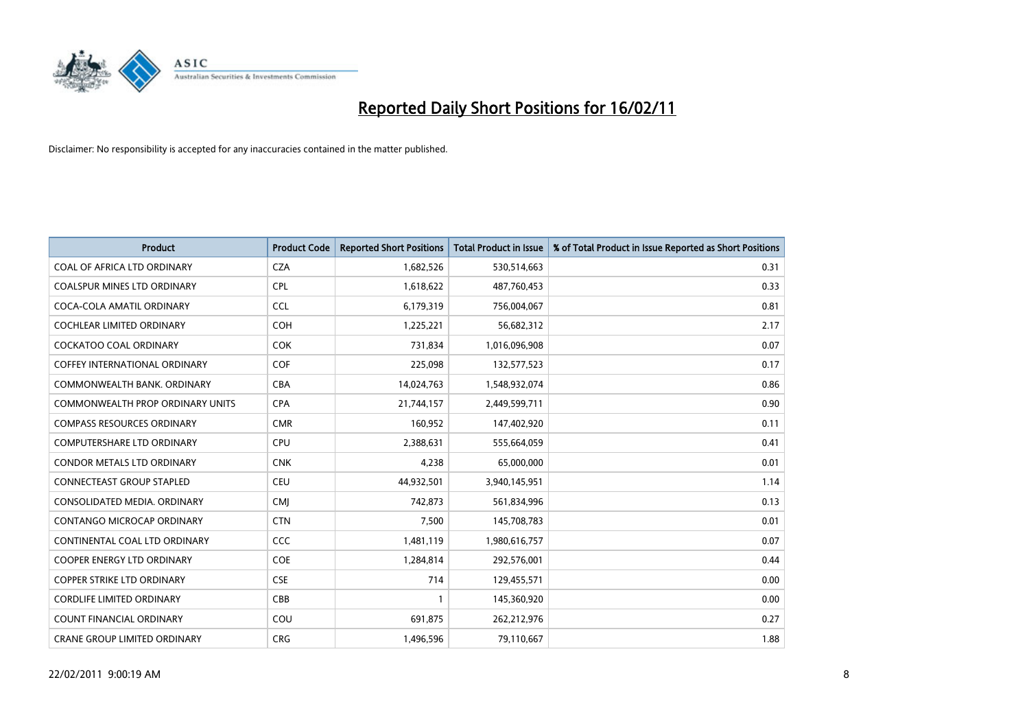

| <b>Product</b>                       | <b>Product Code</b> | <b>Reported Short Positions</b> | <b>Total Product in Issue</b> | % of Total Product in Issue Reported as Short Positions |
|--------------------------------------|---------------------|---------------------------------|-------------------------------|---------------------------------------------------------|
| COAL OF AFRICA LTD ORDINARY          | <b>CZA</b>          | 1,682,526                       | 530,514,663                   | 0.31                                                    |
| COALSPUR MINES LTD ORDINARY          | <b>CPL</b>          | 1,618,622                       | 487,760,453                   | 0.33                                                    |
| COCA-COLA AMATIL ORDINARY            | <b>CCL</b>          | 6,179,319                       | 756,004,067                   | 0.81                                                    |
| COCHLEAR LIMITED ORDINARY            | <b>COH</b>          | 1,225,221                       | 56,682,312                    | 2.17                                                    |
| <b>COCKATOO COAL ORDINARY</b>        | <b>COK</b>          | 731,834                         | 1,016,096,908                 | 0.07                                                    |
| <b>COFFEY INTERNATIONAL ORDINARY</b> | <b>COF</b>          | 225,098                         | 132,577,523                   | 0.17                                                    |
| COMMONWEALTH BANK, ORDINARY          | <b>CBA</b>          | 14,024,763                      | 1,548,932,074                 | 0.86                                                    |
| COMMONWEALTH PROP ORDINARY UNITS     | <b>CPA</b>          | 21,744,157                      | 2,449,599,711                 | 0.90                                                    |
| <b>COMPASS RESOURCES ORDINARY</b>    | <b>CMR</b>          | 160,952                         | 147,402,920                   | 0.11                                                    |
| COMPUTERSHARE LTD ORDINARY           | <b>CPU</b>          | 2,388,631                       | 555,664,059                   | 0.41                                                    |
| <b>CONDOR METALS LTD ORDINARY</b>    | <b>CNK</b>          | 4,238                           | 65,000,000                    | 0.01                                                    |
| CONNECTEAST GROUP STAPLED            | <b>CEU</b>          | 44,932,501                      | 3,940,145,951                 | 1.14                                                    |
| CONSOLIDATED MEDIA, ORDINARY         | <b>CMI</b>          | 742,873                         | 561,834,996                   | 0.13                                                    |
| CONTANGO MICROCAP ORDINARY           | <b>CTN</b>          | 7,500                           | 145,708,783                   | 0.01                                                    |
| CONTINENTAL COAL LTD ORDINARY        | <b>CCC</b>          | 1,481,119                       | 1,980,616,757                 | 0.07                                                    |
| <b>COOPER ENERGY LTD ORDINARY</b>    | <b>COE</b>          | 1,284,814                       | 292,576,001                   | 0.44                                                    |
| <b>COPPER STRIKE LTD ORDINARY</b>    | <b>CSE</b>          | 714                             | 129,455,571                   | 0.00                                                    |
| <b>CORDLIFE LIMITED ORDINARY</b>     | CBB                 |                                 | 145,360,920                   | 0.00                                                    |
| <b>COUNT FINANCIAL ORDINARY</b>      | COU                 | 691,875                         | 262,212,976                   | 0.27                                                    |
| CRANE GROUP LIMITED ORDINARY         | <b>CRG</b>          | 1,496,596                       | 79,110,667                    | 1.88                                                    |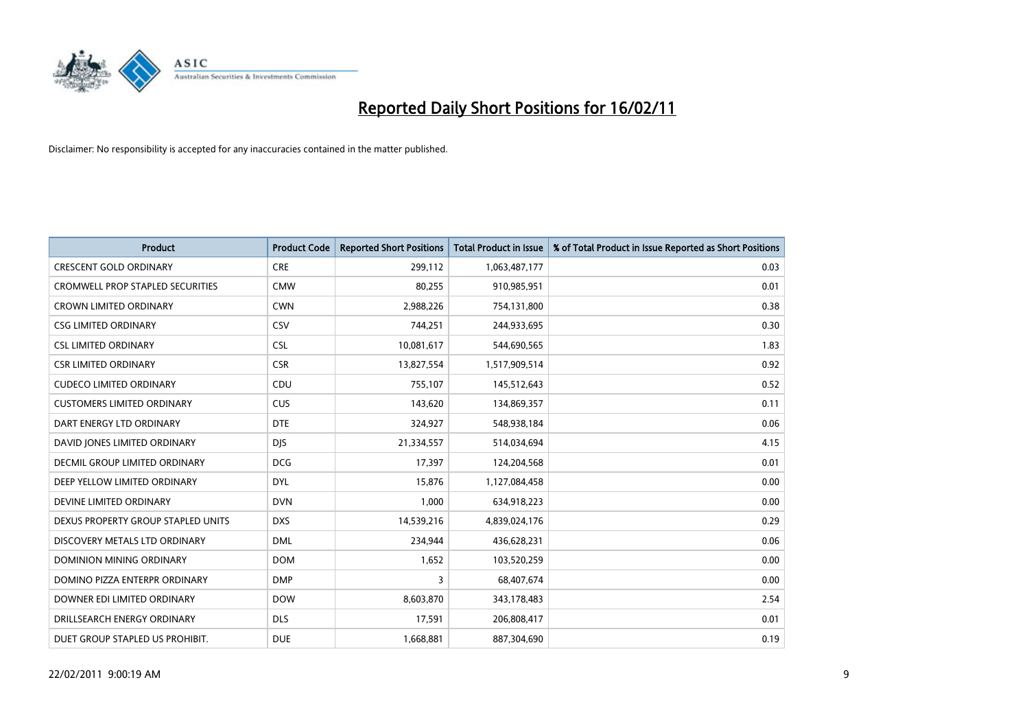

| Product                                 | <b>Product Code</b> | <b>Reported Short Positions</b> | <b>Total Product in Issue</b> | % of Total Product in Issue Reported as Short Positions |
|-----------------------------------------|---------------------|---------------------------------|-------------------------------|---------------------------------------------------------|
| <b>CRESCENT GOLD ORDINARY</b>           | <b>CRE</b>          | 299,112                         | 1,063,487,177                 | 0.03                                                    |
| <b>CROMWELL PROP STAPLED SECURITIES</b> | <b>CMW</b>          | 80,255                          | 910,985,951                   | 0.01                                                    |
| <b>CROWN LIMITED ORDINARY</b>           | <b>CWN</b>          | 2,988,226                       | 754,131,800                   | 0.38                                                    |
| <b>CSG LIMITED ORDINARY</b>             | CSV                 | 744,251                         | 244,933,695                   | 0.30                                                    |
| <b>CSL LIMITED ORDINARY</b>             | <b>CSL</b>          | 10,081,617                      | 544,690,565                   | 1.83                                                    |
| <b>CSR LIMITED ORDINARY</b>             | <b>CSR</b>          | 13,827,554                      | 1,517,909,514                 | 0.92                                                    |
| <b>CUDECO LIMITED ORDINARY</b>          | CDU                 | 755,107                         | 145,512,643                   | 0.52                                                    |
| <b>CUSTOMERS LIMITED ORDINARY</b>       | <b>CUS</b>          | 143,620                         | 134,869,357                   | 0.11                                                    |
| DART ENERGY LTD ORDINARY                | <b>DTE</b>          | 324,927                         | 548,938,184                   | 0.06                                                    |
| DAVID JONES LIMITED ORDINARY            | <b>DJS</b>          | 21,334,557                      | 514,034,694                   | 4.15                                                    |
| <b>DECMIL GROUP LIMITED ORDINARY</b>    | <b>DCG</b>          | 17,397                          | 124,204,568                   | 0.01                                                    |
| DEEP YELLOW LIMITED ORDINARY            | <b>DYL</b>          | 15,876                          | 1,127,084,458                 | 0.00                                                    |
| DEVINE LIMITED ORDINARY                 | <b>DVN</b>          | 1,000                           | 634,918,223                   | 0.00                                                    |
| DEXUS PROPERTY GROUP STAPLED UNITS      | <b>DXS</b>          | 14,539,216                      | 4,839,024,176                 | 0.29                                                    |
| DISCOVERY METALS LTD ORDINARY           | <b>DML</b>          | 234,944                         | 436,628,231                   | 0.06                                                    |
| DOMINION MINING ORDINARY                | <b>DOM</b>          | 1,652                           | 103,520,259                   | 0.00                                                    |
| DOMINO PIZZA ENTERPR ORDINARY           | <b>DMP</b>          | 3                               | 68,407,674                    | 0.00                                                    |
| DOWNER EDI LIMITED ORDINARY             | <b>DOW</b>          | 8,603,870                       | 343,178,483                   | 2.54                                                    |
| DRILLSEARCH ENERGY ORDINARY             | <b>DLS</b>          | 17,591                          | 206,808,417                   | 0.01                                                    |
| DUET GROUP STAPLED US PROHIBIT.         | <b>DUE</b>          | 1,668,881                       | 887,304,690                   | 0.19                                                    |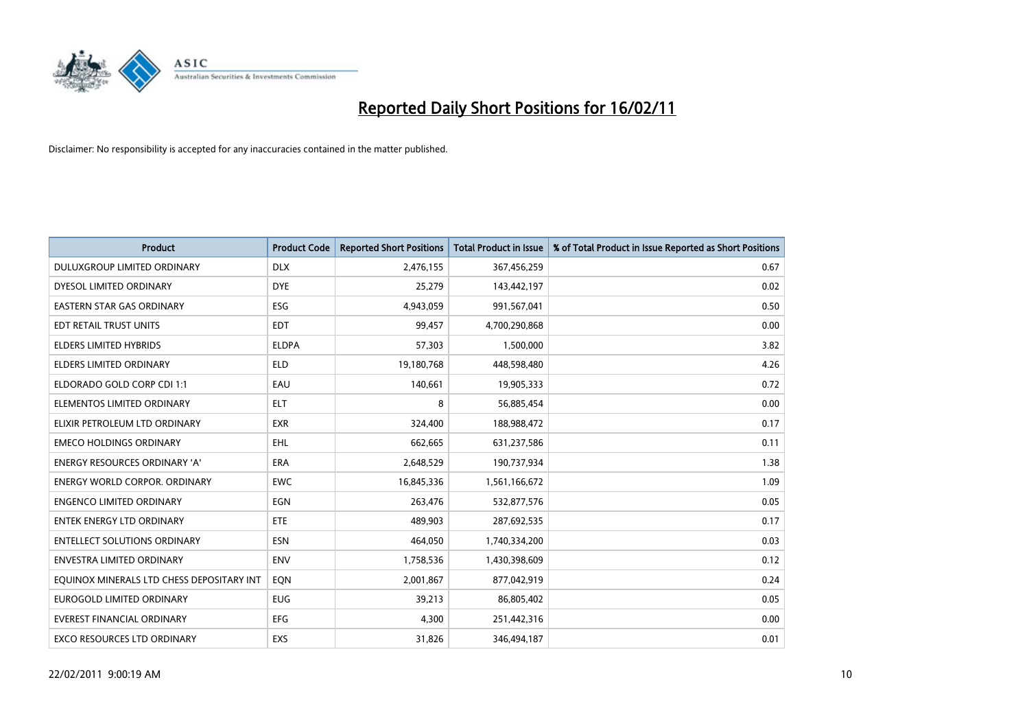

| <b>Product</b>                            | <b>Product Code</b> | <b>Reported Short Positions</b> | Total Product in Issue | % of Total Product in Issue Reported as Short Positions |
|-------------------------------------------|---------------------|---------------------------------|------------------------|---------------------------------------------------------|
| DULUXGROUP LIMITED ORDINARY               | <b>DLX</b>          | 2,476,155                       | 367,456,259            | 0.67                                                    |
| DYESOL LIMITED ORDINARY                   | <b>DYE</b>          | 25,279                          | 143,442,197            | 0.02                                                    |
| EASTERN STAR GAS ORDINARY                 | ESG                 | 4,943,059                       | 991,567,041            | 0.50                                                    |
| EDT RETAIL TRUST UNITS                    | <b>EDT</b>          | 99,457                          | 4,700,290,868          | 0.00                                                    |
| <b>ELDERS LIMITED HYBRIDS</b>             | <b>ELDPA</b>        | 57,303                          | 1,500,000              | 3.82                                                    |
| <b>ELDERS LIMITED ORDINARY</b>            | <b>ELD</b>          | 19,180,768                      | 448,598,480            | 4.26                                                    |
| ELDORADO GOLD CORP CDI 1:1                | EAU                 | 140,661                         | 19,905,333             | 0.72                                                    |
| ELEMENTOS LIMITED ORDINARY                | <b>ELT</b>          | 8                               | 56,885,454             | 0.00                                                    |
| ELIXIR PETROLEUM LTD ORDINARY             | <b>EXR</b>          | 324,400                         | 188,988,472            | 0.17                                                    |
| <b>EMECO HOLDINGS ORDINARY</b>            | <b>EHL</b>          | 662,665                         | 631,237,586            | 0.11                                                    |
| <b>ENERGY RESOURCES ORDINARY 'A'</b>      | ERA                 | 2,648,529                       | 190,737,934            | 1.38                                                    |
| <b>ENERGY WORLD CORPOR, ORDINARY</b>      | <b>EWC</b>          | 16,845,336                      | 1,561,166,672          | 1.09                                                    |
| <b>ENGENCO LIMITED ORDINARY</b>           | EGN                 | 263,476                         | 532,877,576            | 0.05                                                    |
| <b>ENTEK ENERGY LTD ORDINARY</b>          | ETE                 | 489.903                         | 287,692,535            | 0.17                                                    |
| <b>ENTELLECT SOLUTIONS ORDINARY</b>       | <b>ESN</b>          | 464,050                         | 1,740,334,200          | 0.03                                                    |
| <b>ENVESTRA LIMITED ORDINARY</b>          | <b>ENV</b>          | 1,758,536                       | 1,430,398,609          | 0.12                                                    |
| EQUINOX MINERALS LTD CHESS DEPOSITARY INT | EQN                 | 2,001,867                       | 877,042,919            | 0.24                                                    |
| EUROGOLD LIMITED ORDINARY                 | <b>EUG</b>          | 39,213                          | 86,805,402             | 0.05                                                    |
| <b>EVEREST FINANCIAL ORDINARY</b>         | EFG                 | 4,300                           | 251,442,316            | 0.00                                                    |
| EXCO RESOURCES LTD ORDINARY               | EXS                 | 31,826                          | 346,494,187            | 0.01                                                    |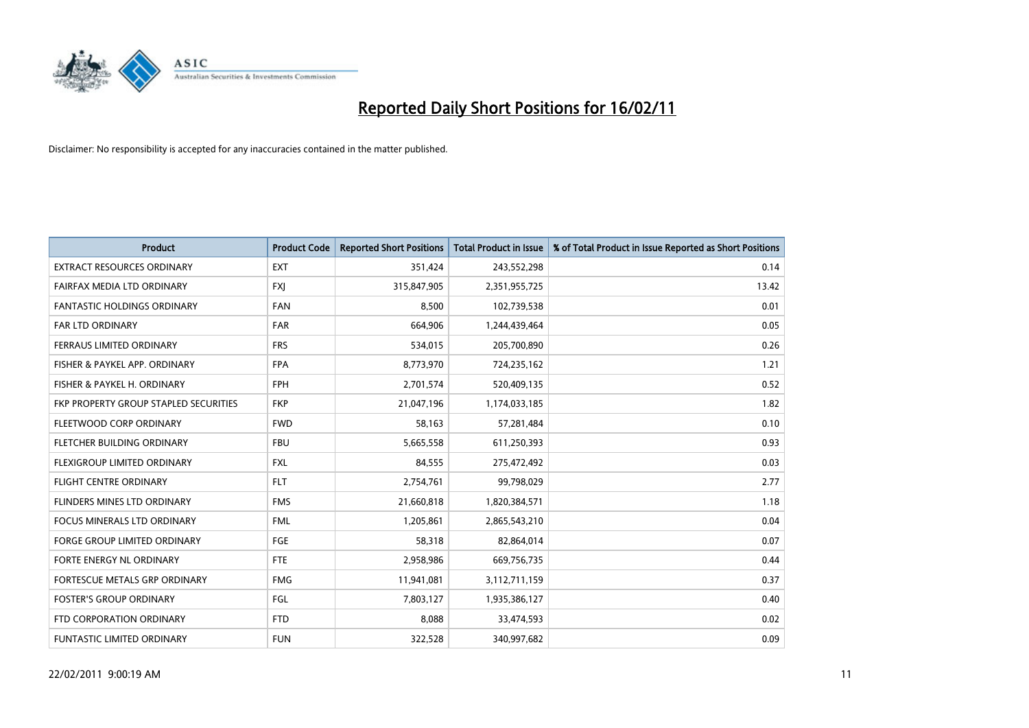

| Product                               | <b>Product Code</b> | <b>Reported Short Positions</b> | Total Product in Issue | % of Total Product in Issue Reported as Short Positions |
|---------------------------------------|---------------------|---------------------------------|------------------------|---------------------------------------------------------|
| <b>EXTRACT RESOURCES ORDINARY</b>     | <b>EXT</b>          | 351,424                         | 243,552,298            | 0.14                                                    |
| FAIRFAX MEDIA LTD ORDINARY            | <b>FXI</b>          | 315,847,905                     | 2,351,955,725          | 13.42                                                   |
| <b>FANTASTIC HOLDINGS ORDINARY</b>    | FAN                 | 8,500                           | 102,739,538            | 0.01                                                    |
| FAR LTD ORDINARY                      | <b>FAR</b>          | 664,906                         | 1,244,439,464          | 0.05                                                    |
| FERRAUS LIMITED ORDINARY              | <b>FRS</b>          | 534,015                         | 205,700,890            | 0.26                                                    |
| FISHER & PAYKEL APP. ORDINARY         | <b>FPA</b>          | 8,773,970                       | 724,235,162            | 1.21                                                    |
| FISHER & PAYKEL H. ORDINARY           | <b>FPH</b>          | 2,701,574                       | 520,409,135            | 0.52                                                    |
| FKP PROPERTY GROUP STAPLED SECURITIES | <b>FKP</b>          | 21,047,196                      | 1,174,033,185          | 1.82                                                    |
| FLEETWOOD CORP ORDINARY               | <b>FWD</b>          | 58,163                          | 57,281,484             | 0.10                                                    |
| FLETCHER BUILDING ORDINARY            | <b>FBU</b>          | 5,665,558                       | 611,250,393            | 0.93                                                    |
| FLEXIGROUP LIMITED ORDINARY           | <b>FXL</b>          | 84,555                          | 275,472,492            | 0.03                                                    |
| <b>FLIGHT CENTRE ORDINARY</b>         | <b>FLT</b>          | 2,754,761                       | 99,798,029             | 2.77                                                    |
| FLINDERS MINES LTD ORDINARY           | <b>FMS</b>          | 21,660,818                      | 1,820,384,571          | 1.18                                                    |
| <b>FOCUS MINERALS LTD ORDINARY</b>    | <b>FML</b>          | 1,205,861                       | 2,865,543,210          | 0.04                                                    |
| <b>FORGE GROUP LIMITED ORDINARY</b>   | FGE                 | 58,318                          | 82,864,014             | 0.07                                                    |
| FORTE ENERGY NL ORDINARY              | <b>FTE</b>          | 2,958,986                       | 669,756,735            | 0.44                                                    |
| FORTESCUE METALS GRP ORDINARY         | <b>FMG</b>          | 11,941,081                      | 3,112,711,159          | 0.37                                                    |
| <b>FOSTER'S GROUP ORDINARY</b>        | FGL                 | 7,803,127                       | 1,935,386,127          | 0.40                                                    |
| FTD CORPORATION ORDINARY              | <b>FTD</b>          | 8,088                           | 33,474,593             | 0.02                                                    |
| <b>FUNTASTIC LIMITED ORDINARY</b>     | <b>FUN</b>          | 322,528                         | 340,997,682            | 0.09                                                    |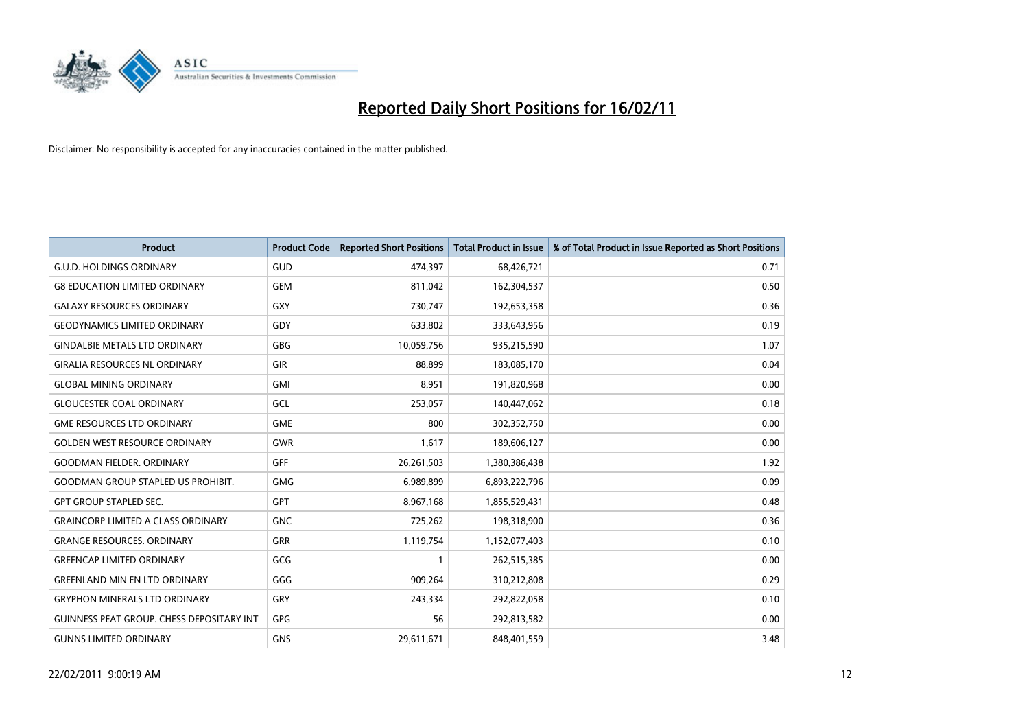

| <b>Product</b>                                   | <b>Product Code</b> | <b>Reported Short Positions</b> | <b>Total Product in Issue</b> | % of Total Product in Issue Reported as Short Positions |
|--------------------------------------------------|---------------------|---------------------------------|-------------------------------|---------------------------------------------------------|
| <b>G.U.D. HOLDINGS ORDINARY</b>                  | GUD                 | 474,397                         | 68,426,721                    | 0.71                                                    |
| <b>G8 EDUCATION LIMITED ORDINARY</b>             | <b>GEM</b>          | 811,042                         | 162,304,537                   | 0.50                                                    |
| <b>GALAXY RESOURCES ORDINARY</b>                 | GXY                 | 730,747                         | 192,653,358                   | 0.36                                                    |
| <b>GEODYNAMICS LIMITED ORDINARY</b>              | GDY                 | 633,802                         | 333,643,956                   | 0.19                                                    |
| <b>GINDALBIE METALS LTD ORDINARY</b>             | <b>GBG</b>          | 10,059,756                      | 935,215,590                   | 1.07                                                    |
| <b>GIRALIA RESOURCES NL ORDINARY</b>             | GIR                 | 88.899                          | 183,085,170                   | 0.04                                                    |
| <b>GLOBAL MINING ORDINARY</b>                    | <b>GMI</b>          | 8,951                           | 191,820,968                   | 0.00                                                    |
| <b>GLOUCESTER COAL ORDINARY</b>                  | GCL                 | 253,057                         | 140,447,062                   | 0.18                                                    |
| <b>GME RESOURCES LTD ORDINARY</b>                | <b>GME</b>          | 800                             | 302,352,750                   | 0.00                                                    |
| <b>GOLDEN WEST RESOURCE ORDINARY</b>             | GWR                 | 1,617                           | 189,606,127                   | 0.00                                                    |
| <b>GOODMAN FIELDER, ORDINARY</b>                 | GFF                 | 26,261,503                      | 1,380,386,438                 | 1.92                                                    |
| <b>GOODMAN GROUP STAPLED US PROHIBIT.</b>        | GMG                 | 6,989,899                       | 6,893,222,796                 | 0.09                                                    |
| <b>GPT GROUP STAPLED SEC.</b>                    | <b>GPT</b>          | 8,967,168                       | 1,855,529,431                 | 0.48                                                    |
| <b>GRAINCORP LIMITED A CLASS ORDINARY</b>        | <b>GNC</b>          | 725,262                         | 198,318,900                   | 0.36                                                    |
| <b>GRANGE RESOURCES, ORDINARY</b>                | <b>GRR</b>          | 1,119,754                       | 1,152,077,403                 | 0.10                                                    |
| <b>GREENCAP LIMITED ORDINARY</b>                 | GCG                 |                                 | 262,515,385                   | 0.00                                                    |
| <b>GREENLAND MIN EN LTD ORDINARY</b>             | GGG                 | 909,264                         | 310,212,808                   | 0.29                                                    |
| <b>GRYPHON MINERALS LTD ORDINARY</b>             | GRY                 | 243,334                         | 292,822,058                   | 0.10                                                    |
| <b>GUINNESS PEAT GROUP. CHESS DEPOSITARY INT</b> | <b>GPG</b>          | 56                              | 292,813,582                   | 0.00                                                    |
| <b>GUNNS LIMITED ORDINARY</b>                    | <b>GNS</b>          | 29,611,671                      | 848,401,559                   | 3.48                                                    |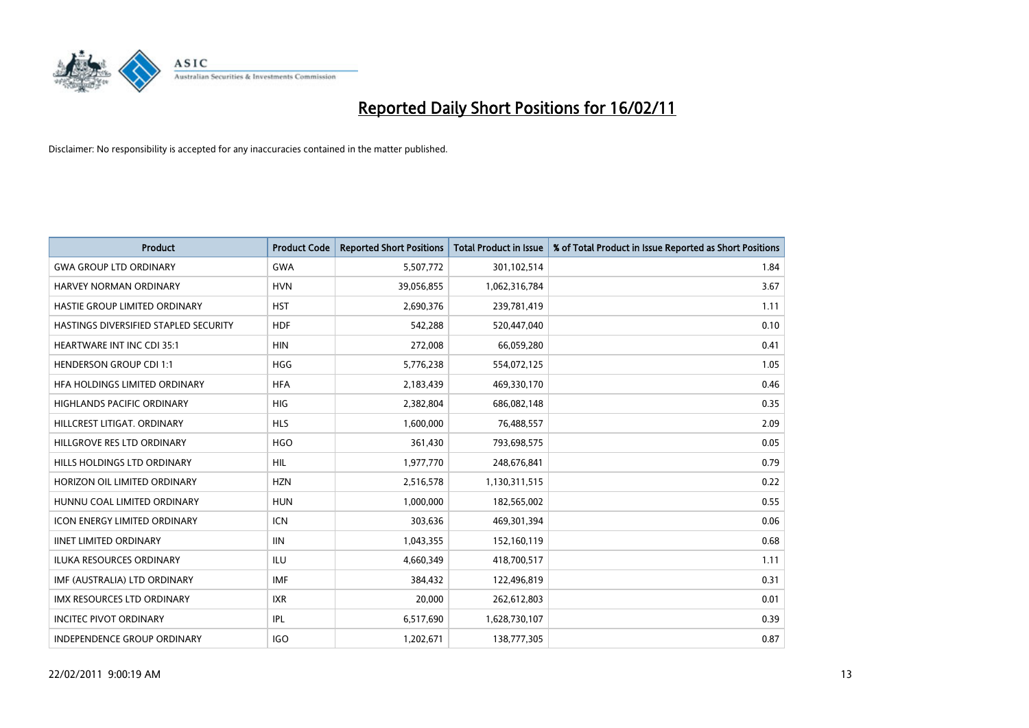

| Product                               | <b>Product Code</b> | <b>Reported Short Positions</b> | <b>Total Product in Issue</b> | % of Total Product in Issue Reported as Short Positions |
|---------------------------------------|---------------------|---------------------------------|-------------------------------|---------------------------------------------------------|
| <b>GWA GROUP LTD ORDINARY</b>         | <b>GWA</b>          | 5,507,772                       | 301,102,514                   | 1.84                                                    |
| HARVEY NORMAN ORDINARY                | <b>HVN</b>          | 39,056,855                      | 1,062,316,784                 | 3.67                                                    |
| HASTIE GROUP LIMITED ORDINARY         | <b>HST</b>          | 2,690,376                       | 239,781,419                   | 1.11                                                    |
| HASTINGS DIVERSIFIED STAPLED SECURITY | <b>HDF</b>          | 542,288                         | 520,447,040                   | 0.10                                                    |
| <b>HEARTWARE INT INC CDI 35:1</b>     | <b>HIN</b>          | 272,008                         | 66,059,280                    | 0.41                                                    |
| <b>HENDERSON GROUP CDI 1:1</b>        | <b>HGG</b>          | 5,776,238                       | 554,072,125                   | 1.05                                                    |
| HEA HOLDINGS LIMITED ORDINARY         | <b>HFA</b>          | 2,183,439                       | 469,330,170                   | 0.46                                                    |
| HIGHLANDS PACIFIC ORDINARY            | <b>HIG</b>          | 2,382,804                       | 686,082,148                   | 0.35                                                    |
| HILLCREST LITIGAT. ORDINARY           | <b>HLS</b>          | 1,600,000                       | 76,488,557                    | 2.09                                                    |
| HILLGROVE RES LTD ORDINARY            | <b>HGO</b>          | 361,430                         | 793,698,575                   | 0.05                                                    |
| HILLS HOLDINGS LTD ORDINARY           | <b>HIL</b>          | 1,977,770                       | 248,676,841                   | 0.79                                                    |
| HORIZON OIL LIMITED ORDINARY          | <b>HZN</b>          | 2,516,578                       | 1,130,311,515                 | 0.22                                                    |
| HUNNU COAL LIMITED ORDINARY           | <b>HUN</b>          | 1,000,000                       | 182,565,002                   | 0.55                                                    |
| <b>ICON ENERGY LIMITED ORDINARY</b>   | <b>ICN</b>          | 303,636                         | 469,301,394                   | 0.06                                                    |
| <b>IINET LIMITED ORDINARY</b>         | <b>IIN</b>          | 1,043,355                       | 152,160,119                   | 0.68                                                    |
| <b>ILUKA RESOURCES ORDINARY</b>       | ILU                 | 4,660,349                       | 418,700,517                   | 1.11                                                    |
| IMF (AUSTRALIA) LTD ORDINARY          | <b>IMF</b>          | 384,432                         | 122,496,819                   | 0.31                                                    |
| IMX RESOURCES LTD ORDINARY            | <b>IXR</b>          | 20,000                          | 262,612,803                   | 0.01                                                    |
| <b>INCITEC PIVOT ORDINARY</b>         | IPL                 | 6,517,690                       | 1,628,730,107                 | 0.39                                                    |
| INDEPENDENCE GROUP ORDINARY           | <b>IGO</b>          | 1,202,671                       | 138,777,305                   | 0.87                                                    |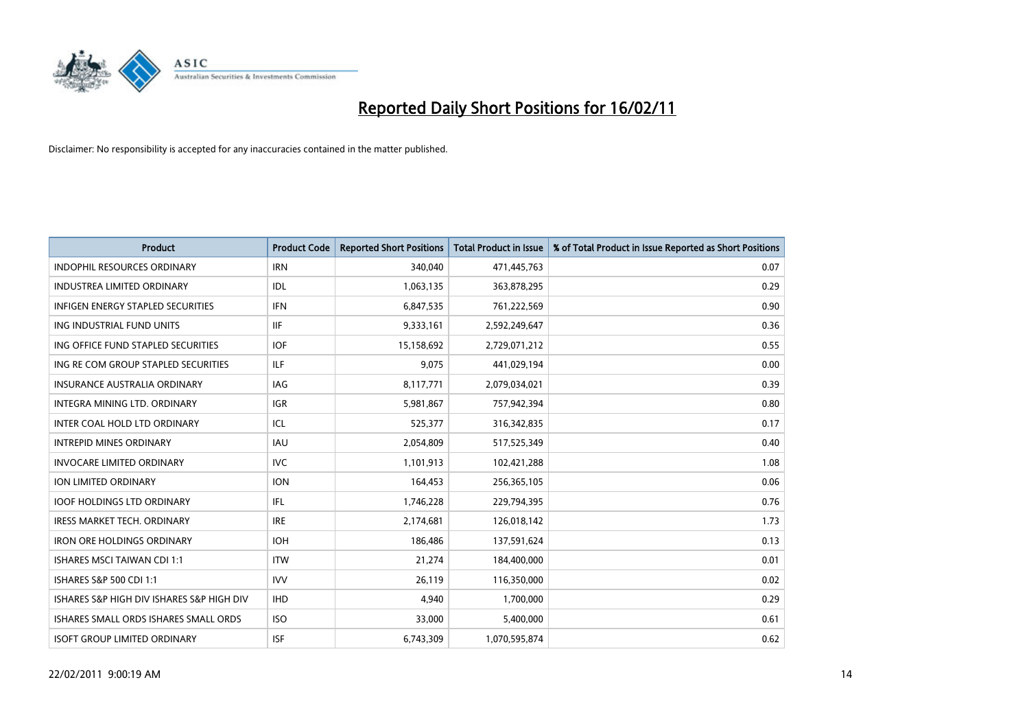

| <b>Product</b>                            | <b>Product Code</b> | <b>Reported Short Positions</b> | <b>Total Product in Issue</b> | % of Total Product in Issue Reported as Short Positions |
|-------------------------------------------|---------------------|---------------------------------|-------------------------------|---------------------------------------------------------|
| <b>INDOPHIL RESOURCES ORDINARY</b>        | <b>IRN</b>          | 340,040                         | 471,445,763                   | 0.07                                                    |
| <b>INDUSTREA LIMITED ORDINARY</b>         | IDL                 | 1,063,135                       | 363,878,295                   | 0.29                                                    |
| <b>INFIGEN ENERGY STAPLED SECURITIES</b>  | <b>IFN</b>          | 6,847,535                       | 761,222,569                   | 0.90                                                    |
| ING INDUSTRIAL FUND UNITS                 | <b>IIF</b>          | 9,333,161                       | 2,592,249,647                 | 0.36                                                    |
| ING OFFICE FUND STAPLED SECURITIES        | <b>IOF</b>          | 15,158,692                      | 2,729,071,212                 | 0.55                                                    |
| ING RE COM GROUP STAPLED SECURITIES       | ILF.                | 9,075                           | 441,029,194                   | 0.00                                                    |
| <b>INSURANCE AUSTRALIA ORDINARY</b>       | IAG                 | 8,117,771                       | 2,079,034,021                 | 0.39                                                    |
| <b>INTEGRA MINING LTD, ORDINARY</b>       | <b>IGR</b>          | 5,981,867                       | 757,942,394                   | 0.80                                                    |
| INTER COAL HOLD LTD ORDINARY              | ICL                 | 525,377                         | 316,342,835                   | 0.17                                                    |
| <b>INTREPID MINES ORDINARY</b>            | <b>IAU</b>          | 2,054,809                       | 517,525,349                   | 0.40                                                    |
| <b>INVOCARE LIMITED ORDINARY</b>          | <b>IVC</b>          | 1,101,913                       | 102,421,288                   | 1.08                                                    |
| <b>ION LIMITED ORDINARY</b>               | <b>ION</b>          | 164,453                         | 256,365,105                   | 0.06                                                    |
| <b>IOOF HOLDINGS LTD ORDINARY</b>         | IFL                 | 1,746,228                       | 229,794,395                   | 0.76                                                    |
| <b>IRESS MARKET TECH. ORDINARY</b>        | <b>IRE</b>          | 2,174,681                       | 126,018,142                   | 1.73                                                    |
| <b>IRON ORE HOLDINGS ORDINARY</b>         | <b>IOH</b>          | 186,486                         | 137,591,624                   | 0.13                                                    |
| <b>ISHARES MSCI TAIWAN CDI 1:1</b>        | <b>ITW</b>          | 21,274                          | 184,400,000                   | 0.01                                                    |
| ISHARES S&P 500 CDI 1:1                   | <b>IVV</b>          | 26,119                          | 116,350,000                   | 0.02                                                    |
| ISHARES S&P HIGH DIV ISHARES S&P HIGH DIV | <b>IHD</b>          | 4,940                           | 1,700,000                     | 0.29                                                    |
| ISHARES SMALL ORDS ISHARES SMALL ORDS     | <b>ISO</b>          | 33,000                          | 5,400,000                     | 0.61                                                    |
| <b>ISOFT GROUP LIMITED ORDINARY</b>       | <b>ISF</b>          | 6,743,309                       | 1,070,595,874                 | 0.62                                                    |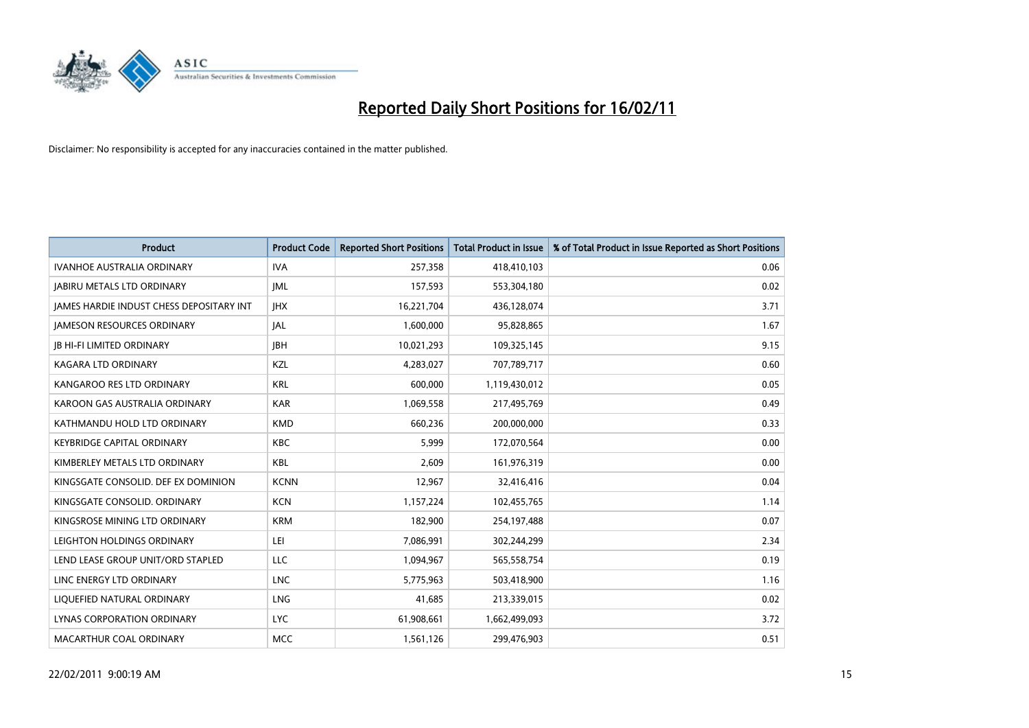

| Product                                         | <b>Product Code</b> | <b>Reported Short Positions</b> | <b>Total Product in Issue</b> | % of Total Product in Issue Reported as Short Positions |
|-------------------------------------------------|---------------------|---------------------------------|-------------------------------|---------------------------------------------------------|
| <b>IVANHOE AUSTRALIA ORDINARY</b>               | <b>IVA</b>          | 257,358                         | 418,410,103                   | 0.06                                                    |
| <b>JABIRU METALS LTD ORDINARY</b>               | <b>JML</b>          | 157,593                         | 553,304,180                   | 0.02                                                    |
| <b>IAMES HARDIE INDUST CHESS DEPOSITARY INT</b> | <b>IHX</b>          | 16,221,704                      | 436,128,074                   | 3.71                                                    |
| <b>JAMESON RESOURCES ORDINARY</b>               | JAL                 | 1,600,000                       | 95,828,865                    | 1.67                                                    |
| <b>JB HI-FI LIMITED ORDINARY</b>                | <b>IBH</b>          | 10,021,293                      | 109,325,145                   | 9.15                                                    |
| <b>KAGARA LTD ORDINARY</b>                      | KZL                 | 4,283,027                       | 707,789,717                   | 0.60                                                    |
| KANGAROO RES LTD ORDINARY                       | <b>KRL</b>          | 600,000                         | 1,119,430,012                 | 0.05                                                    |
| KAROON GAS AUSTRALIA ORDINARY                   | <b>KAR</b>          | 1,069,558                       | 217,495,769                   | 0.49                                                    |
| KATHMANDU HOLD LTD ORDINARY                     | <b>KMD</b>          | 660,236                         | 200,000,000                   | 0.33                                                    |
| <b>KEYBRIDGE CAPITAL ORDINARY</b>               | <b>KBC</b>          | 5,999                           | 172,070,564                   | 0.00                                                    |
| KIMBERLEY METALS LTD ORDINARY                   | <b>KBL</b>          | 2,609                           | 161,976,319                   | 0.00                                                    |
| KINGSGATE CONSOLID. DEF EX DOMINION             | <b>KCNN</b>         | 12,967                          | 32,416,416                    | 0.04                                                    |
| KINGSGATE CONSOLID. ORDINARY                    | <b>KCN</b>          | 1,157,224                       | 102,455,765                   | 1.14                                                    |
| KINGSROSE MINING LTD ORDINARY                   | <b>KRM</b>          | 182,900                         | 254,197,488                   | 0.07                                                    |
| LEIGHTON HOLDINGS ORDINARY                      | LEI                 | 7,086,991                       | 302,244,299                   | 2.34                                                    |
| LEND LEASE GROUP UNIT/ORD STAPLED               | <b>LLC</b>          | 1,094,967                       | 565,558,754                   | 0.19                                                    |
| LINC ENERGY LTD ORDINARY                        | <b>LNC</b>          | 5,775,963                       | 503,418,900                   | 1.16                                                    |
| LIQUEFIED NATURAL ORDINARY                      | <b>LNG</b>          | 41,685                          | 213,339,015                   | 0.02                                                    |
| LYNAS CORPORATION ORDINARY                      | <b>LYC</b>          | 61,908,661                      | 1,662,499,093                 | 3.72                                                    |
| MACARTHUR COAL ORDINARY                         | <b>MCC</b>          | 1,561,126                       | 299,476,903                   | 0.51                                                    |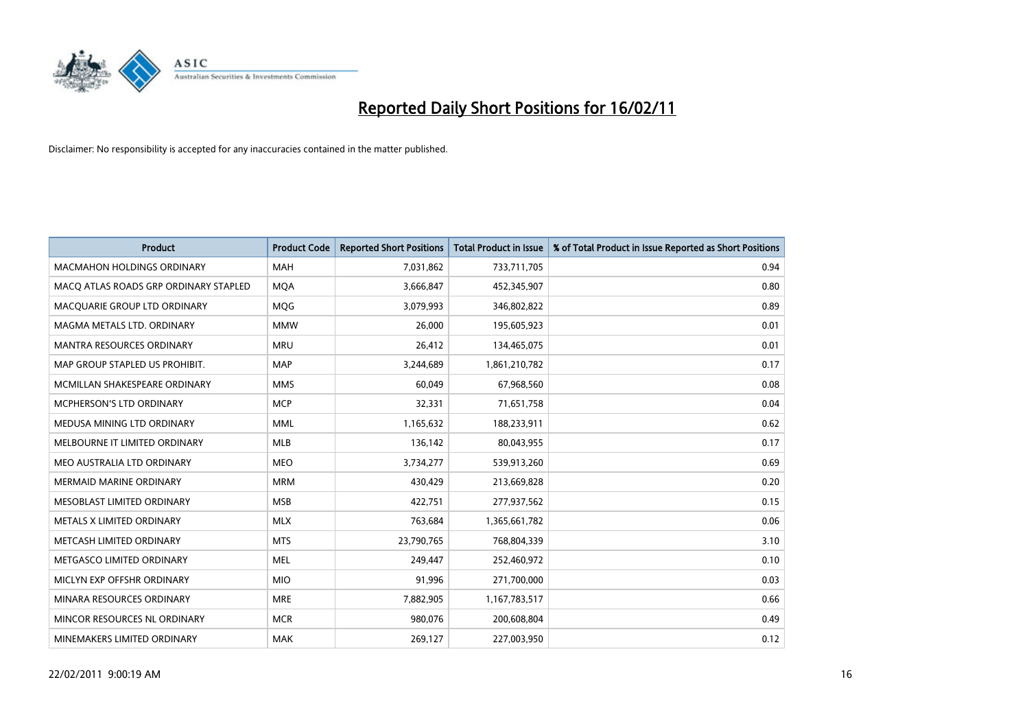

| Product                               | <b>Product Code</b> | <b>Reported Short Positions</b> | <b>Total Product in Issue</b> | % of Total Product in Issue Reported as Short Positions |
|---------------------------------------|---------------------|---------------------------------|-------------------------------|---------------------------------------------------------|
| <b>MACMAHON HOLDINGS ORDINARY</b>     | <b>MAH</b>          | 7,031,862                       | 733,711,705                   | 0.94                                                    |
| MACQ ATLAS ROADS GRP ORDINARY STAPLED | <b>MOA</b>          | 3,666,847                       | 452,345,907                   | 0.80                                                    |
| MACQUARIE GROUP LTD ORDINARY          | MQG                 | 3,079,993                       | 346,802,822                   | 0.89                                                    |
| MAGMA METALS LTD. ORDINARY            | <b>MMW</b>          | 26,000                          | 195,605,923                   | 0.01                                                    |
| <b>MANTRA RESOURCES ORDINARY</b>      | <b>MRU</b>          | 26,412                          | 134,465,075                   | 0.01                                                    |
| MAP GROUP STAPLED US PROHIBIT.        | <b>MAP</b>          | 3,244,689                       | 1,861,210,782                 | 0.17                                                    |
| MCMILLAN SHAKESPEARE ORDINARY         | <b>MMS</b>          | 60,049                          | 67,968,560                    | 0.08                                                    |
| MCPHERSON'S LTD ORDINARY              | <b>MCP</b>          | 32,331                          | 71,651,758                    | 0.04                                                    |
| MEDUSA MINING LTD ORDINARY            | <b>MML</b>          | 1,165,632                       | 188,233,911                   | 0.62                                                    |
| MELBOURNE IT LIMITED ORDINARY         | <b>MLB</b>          | 136,142                         | 80,043,955                    | 0.17                                                    |
| MEO AUSTRALIA LTD ORDINARY            | <b>MEO</b>          | 3,734,277                       | 539,913,260                   | 0.69                                                    |
| <b>MERMAID MARINE ORDINARY</b>        | <b>MRM</b>          | 430,429                         | 213,669,828                   | 0.20                                                    |
| MESOBLAST LIMITED ORDINARY            | <b>MSB</b>          | 422,751                         | 277,937,562                   | 0.15                                                    |
| METALS X LIMITED ORDINARY             | <b>MLX</b>          | 763,684                         | 1,365,661,782                 | 0.06                                                    |
| METCASH LIMITED ORDINARY              | <b>MTS</b>          | 23,790,765                      | 768,804,339                   | 3.10                                                    |
| METGASCO LIMITED ORDINARY             | <b>MEL</b>          | 249,447                         | 252,460,972                   | 0.10                                                    |
| MICLYN EXP OFFSHR ORDINARY            | <b>MIO</b>          | 91,996                          | 271,700,000                   | 0.03                                                    |
| MINARA RESOURCES ORDINARY             | <b>MRE</b>          | 7,882,905                       | 1,167,783,517                 | 0.66                                                    |
| MINCOR RESOURCES NL ORDINARY          | <b>MCR</b>          | 980,076                         | 200,608,804                   | 0.49                                                    |
| MINEMAKERS LIMITED ORDINARY           | <b>MAK</b>          | 269,127                         | 227,003,950                   | 0.12                                                    |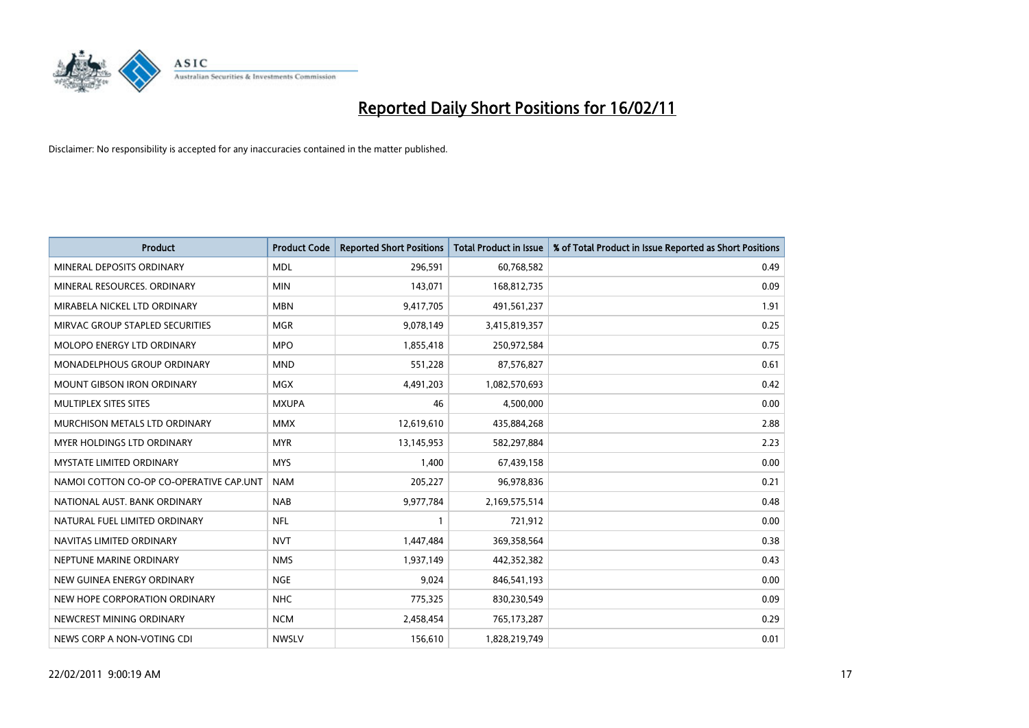

| <b>Product</b>                          | <b>Product Code</b> | <b>Reported Short Positions</b> | <b>Total Product in Issue</b> | % of Total Product in Issue Reported as Short Positions |
|-----------------------------------------|---------------------|---------------------------------|-------------------------------|---------------------------------------------------------|
| MINERAL DEPOSITS ORDINARY               | <b>MDL</b>          | 296,591                         | 60,768,582                    | 0.49                                                    |
| MINERAL RESOURCES. ORDINARY             | <b>MIN</b>          | 143,071                         | 168,812,735                   | 0.09                                                    |
| MIRABELA NICKEL LTD ORDINARY            | <b>MBN</b>          | 9,417,705                       | 491,561,237                   | 1.91                                                    |
| MIRVAC GROUP STAPLED SECURITIES         | <b>MGR</b>          | 9,078,149                       | 3,415,819,357                 | 0.25                                                    |
| <b>MOLOPO ENERGY LTD ORDINARY</b>       | <b>MPO</b>          | 1,855,418                       | 250,972,584                   | 0.75                                                    |
| <b>MONADELPHOUS GROUP ORDINARY</b>      | <b>MND</b>          | 551,228                         | 87,576,827                    | 0.61                                                    |
| <b>MOUNT GIBSON IRON ORDINARY</b>       | <b>MGX</b>          | 4,491,203                       | 1,082,570,693                 | 0.42                                                    |
| MULTIPLEX SITES SITES                   | <b>MXUPA</b>        | 46                              | 4,500,000                     | 0.00                                                    |
| MURCHISON METALS LTD ORDINARY           | <b>MMX</b>          | 12,619,610                      | 435,884,268                   | 2.88                                                    |
| MYER HOLDINGS LTD ORDINARY              | <b>MYR</b>          | 13,145,953                      | 582,297,884                   | 2.23                                                    |
| MYSTATE LIMITED ORDINARY                | <b>MYS</b>          | 1,400                           | 67,439,158                    | 0.00                                                    |
| NAMOI COTTON CO-OP CO-OPERATIVE CAP.UNT | <b>NAM</b>          | 205,227                         | 96,978,836                    | 0.21                                                    |
| NATIONAL AUST, BANK ORDINARY            | <b>NAB</b>          | 9,977,784                       | 2,169,575,514                 | 0.48                                                    |
| NATURAL FUEL LIMITED ORDINARY           | <b>NFL</b>          |                                 | 721,912                       | 0.00                                                    |
| NAVITAS LIMITED ORDINARY                | <b>NVT</b>          | 1,447,484                       | 369,358,564                   | 0.38                                                    |
| NEPTUNE MARINE ORDINARY                 | <b>NMS</b>          | 1,937,149                       | 442,352,382                   | 0.43                                                    |
| NEW GUINEA ENERGY ORDINARY              | <b>NGE</b>          | 9,024                           | 846,541,193                   | 0.00                                                    |
| NEW HOPE CORPORATION ORDINARY           | <b>NHC</b>          | 775,325                         | 830,230,549                   | 0.09                                                    |
| NEWCREST MINING ORDINARY                | <b>NCM</b>          | 2,458,454                       | 765,173,287                   | 0.29                                                    |
| NEWS CORP A NON-VOTING CDI              | <b>NWSLV</b>        | 156,610                         | 1,828,219,749                 | 0.01                                                    |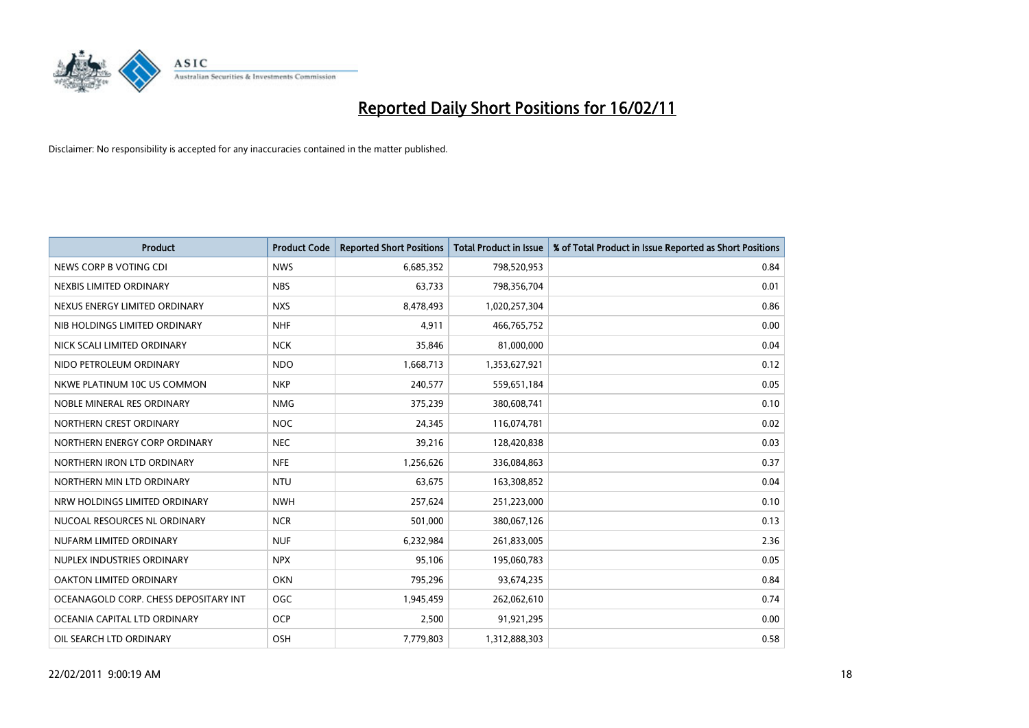

| <b>Product</b>                        | <b>Product Code</b> | <b>Reported Short Positions</b> | <b>Total Product in Issue</b> | % of Total Product in Issue Reported as Short Positions |
|---------------------------------------|---------------------|---------------------------------|-------------------------------|---------------------------------------------------------|
| NEWS CORP B VOTING CDI                | <b>NWS</b>          | 6,685,352                       | 798,520,953                   | 0.84                                                    |
| NEXBIS LIMITED ORDINARY               | <b>NBS</b>          | 63,733                          | 798,356,704                   | 0.01                                                    |
| NEXUS ENERGY LIMITED ORDINARY         | <b>NXS</b>          | 8,478,493                       | 1,020,257,304                 | 0.86                                                    |
| NIB HOLDINGS LIMITED ORDINARY         | <b>NHF</b>          | 4,911                           | 466,765,752                   | 0.00                                                    |
| NICK SCALI LIMITED ORDINARY           | <b>NCK</b>          | 35,846                          | 81,000,000                    | 0.04                                                    |
| NIDO PETROLEUM ORDINARY               | <b>NDO</b>          | 1,668,713                       | 1,353,627,921                 | 0.12                                                    |
| NKWE PLATINUM 10C US COMMON           | <b>NKP</b>          | 240,577                         | 559,651,184                   | 0.05                                                    |
| NOBLE MINERAL RES ORDINARY            | <b>NMG</b>          | 375,239                         | 380,608,741                   | 0.10                                                    |
| NORTHERN CREST ORDINARY               | <b>NOC</b>          | 24,345                          | 116,074,781                   | 0.02                                                    |
| NORTHERN ENERGY CORP ORDINARY         | <b>NEC</b>          | 39,216                          | 128,420,838                   | 0.03                                                    |
| NORTHERN IRON LTD ORDINARY            | <b>NFE</b>          | 1,256,626                       | 336,084,863                   | 0.37                                                    |
| NORTHERN MIN LTD ORDINARY             | <b>NTU</b>          | 63,675                          | 163,308,852                   | 0.04                                                    |
| NRW HOLDINGS LIMITED ORDINARY         | <b>NWH</b>          | 257,624                         | 251,223,000                   | 0.10                                                    |
| NUCOAL RESOURCES NL ORDINARY          | <b>NCR</b>          | 501,000                         | 380,067,126                   | 0.13                                                    |
| NUFARM LIMITED ORDINARY               | <b>NUF</b>          | 6,232,984                       | 261,833,005                   | 2.36                                                    |
| NUPLEX INDUSTRIES ORDINARY            | <b>NPX</b>          | 95,106                          | 195,060,783                   | 0.05                                                    |
| OAKTON LIMITED ORDINARY               | <b>OKN</b>          | 795,296                         | 93,674,235                    | 0.84                                                    |
| OCEANAGOLD CORP. CHESS DEPOSITARY INT | <b>OGC</b>          | 1,945,459                       | 262,062,610                   | 0.74                                                    |
| OCEANIA CAPITAL LTD ORDINARY          | <b>OCP</b>          | 2,500                           | 91,921,295                    | 0.00                                                    |
| OIL SEARCH LTD ORDINARY               | OSH                 | 7,779,803                       | 1,312,888,303                 | 0.58                                                    |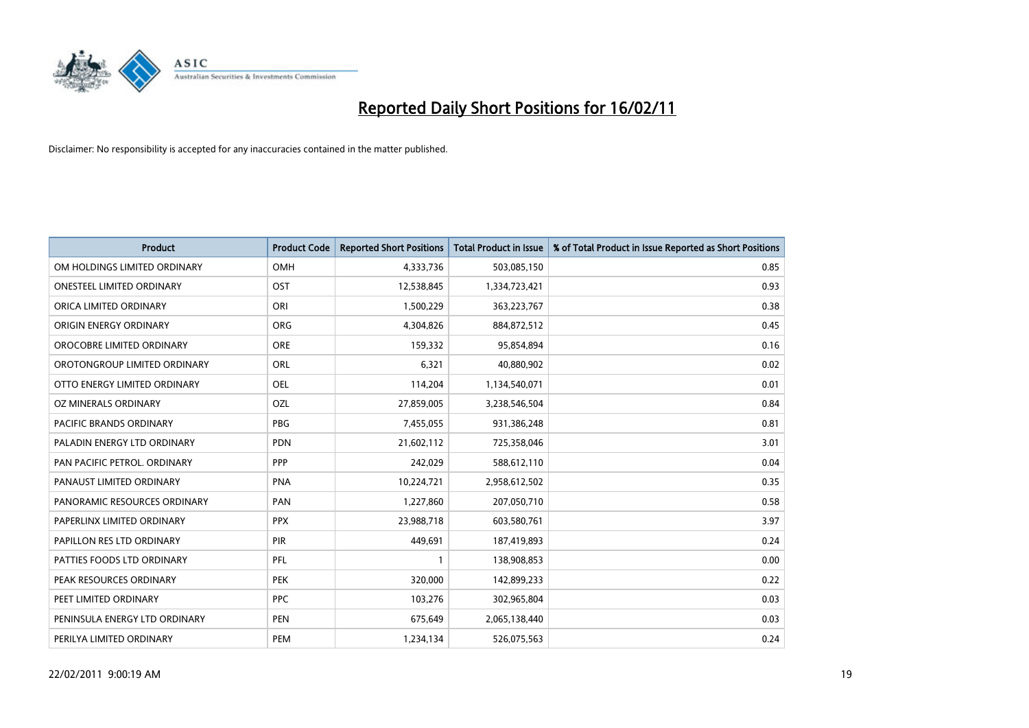

| Product                       | <b>Product Code</b> | <b>Reported Short Positions</b> | <b>Total Product in Issue</b> | % of Total Product in Issue Reported as Short Positions |
|-------------------------------|---------------------|---------------------------------|-------------------------------|---------------------------------------------------------|
| OM HOLDINGS LIMITED ORDINARY  | OMH                 | 4,333,736                       | 503,085,150                   | 0.85                                                    |
| ONESTEEL LIMITED ORDINARY     | OST                 | 12,538,845                      | 1,334,723,421                 | 0.93                                                    |
| ORICA LIMITED ORDINARY        | ORI                 | 1,500,229                       | 363,223,767                   | 0.38                                                    |
| ORIGIN ENERGY ORDINARY        | <b>ORG</b>          | 4,304,826                       | 884,872,512                   | 0.45                                                    |
| OROCOBRE LIMITED ORDINARY     | <b>ORE</b>          | 159,332                         | 95,854,894                    | 0.16                                                    |
| OROTONGROUP LIMITED ORDINARY  | <b>ORL</b>          | 6,321                           | 40,880,902                    | 0.02                                                    |
| OTTO ENERGY LIMITED ORDINARY  | <b>OEL</b>          | 114,204                         | 1,134,540,071                 | 0.01                                                    |
| OZ MINERALS ORDINARY          | OZL                 | 27,859,005                      | 3,238,546,504                 | 0.84                                                    |
| PACIFIC BRANDS ORDINARY       | <b>PBG</b>          | 7,455,055                       | 931,386,248                   | 0.81                                                    |
| PALADIN ENERGY LTD ORDINARY   | <b>PDN</b>          | 21,602,112                      | 725,358,046                   | 3.01                                                    |
| PAN PACIFIC PETROL. ORDINARY  | PPP                 | 242,029                         | 588,612,110                   | 0.04                                                    |
| PANAUST LIMITED ORDINARY      | <b>PNA</b>          | 10,224,721                      | 2,958,612,502                 | 0.35                                                    |
| PANORAMIC RESOURCES ORDINARY  | PAN                 | 1,227,860                       | 207,050,710                   | 0.58                                                    |
| PAPERLINX LIMITED ORDINARY    | <b>PPX</b>          | 23,988,718                      | 603,580,761                   | 3.97                                                    |
| PAPILLON RES LTD ORDINARY     | PIR                 | 449,691                         | 187,419,893                   | 0.24                                                    |
| PATTIES FOODS LTD ORDINARY    | PFL                 |                                 | 138,908,853                   | 0.00                                                    |
| PEAK RESOURCES ORDINARY       | <b>PEK</b>          | 320,000                         | 142,899,233                   | 0.22                                                    |
| PEET LIMITED ORDINARY         | <b>PPC</b>          | 103,276                         | 302,965,804                   | 0.03                                                    |
| PENINSULA ENERGY LTD ORDINARY | <b>PEN</b>          | 675,649                         | 2,065,138,440                 | 0.03                                                    |
| PERILYA LIMITED ORDINARY      | PEM                 | 1,234,134                       | 526,075,563                   | 0.24                                                    |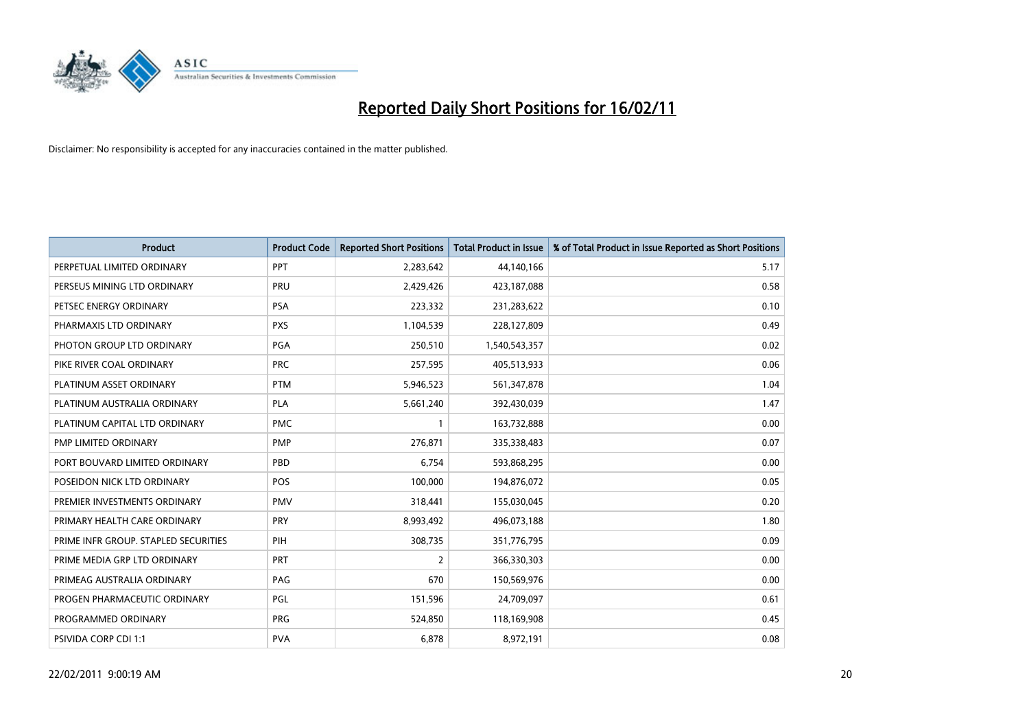

| Product                              | <b>Product Code</b> | <b>Reported Short Positions</b> | Total Product in Issue | % of Total Product in Issue Reported as Short Positions |
|--------------------------------------|---------------------|---------------------------------|------------------------|---------------------------------------------------------|
| PERPETUAL LIMITED ORDINARY           | <b>PPT</b>          | 2,283,642                       | 44,140,166             | 5.17                                                    |
| PERSEUS MINING LTD ORDINARY          | PRU                 | 2,429,426                       | 423,187,088            | 0.58                                                    |
| PETSEC ENERGY ORDINARY               | <b>PSA</b>          | 223,332                         | 231,283,622            | 0.10                                                    |
| PHARMAXIS LTD ORDINARY               | <b>PXS</b>          | 1,104,539                       | 228,127,809            | 0.49                                                    |
| PHOTON GROUP LTD ORDINARY            | <b>PGA</b>          | 250,510                         | 1,540,543,357          | 0.02                                                    |
| PIKE RIVER COAL ORDINARY             | <b>PRC</b>          | 257,595                         | 405,513,933            | 0.06                                                    |
| PLATINUM ASSET ORDINARY              | <b>PTM</b>          | 5,946,523                       | 561,347,878            | 1.04                                                    |
| PLATINUM AUSTRALIA ORDINARY          | <b>PLA</b>          | 5,661,240                       | 392,430,039            | 1.47                                                    |
| PLATINUM CAPITAL LTD ORDINARY        | <b>PMC</b>          |                                 | 163,732,888            | 0.00                                                    |
| PMP LIMITED ORDINARY                 | <b>PMP</b>          | 276,871                         | 335,338,483            | 0.07                                                    |
| PORT BOUVARD LIMITED ORDINARY        | PBD                 | 6,754                           | 593,868,295            | 0.00                                                    |
| POSEIDON NICK LTD ORDINARY           | <b>POS</b>          | 100,000                         | 194,876,072            | 0.05                                                    |
| PREMIER INVESTMENTS ORDINARY         | <b>PMV</b>          | 318,441                         | 155,030,045            | 0.20                                                    |
| PRIMARY HEALTH CARE ORDINARY         | PRY                 | 8,993,492                       | 496,073,188            | 1.80                                                    |
| PRIME INFR GROUP. STAPLED SECURITIES | PIH                 | 308,735                         | 351,776,795            | 0.09                                                    |
| PRIME MEDIA GRP LTD ORDINARY         | PRT                 | 2                               | 366,330,303            | 0.00                                                    |
| PRIMEAG AUSTRALIA ORDINARY           | PAG                 | 670                             | 150,569,976            | 0.00                                                    |
| PROGEN PHARMACEUTIC ORDINARY         | PGL                 | 151,596                         | 24,709,097             | 0.61                                                    |
| PROGRAMMED ORDINARY                  | <b>PRG</b>          | 524,850                         | 118,169,908            | 0.45                                                    |
| PSIVIDA CORP CDI 1:1                 | <b>PVA</b>          | 6,878                           | 8,972,191              | 0.08                                                    |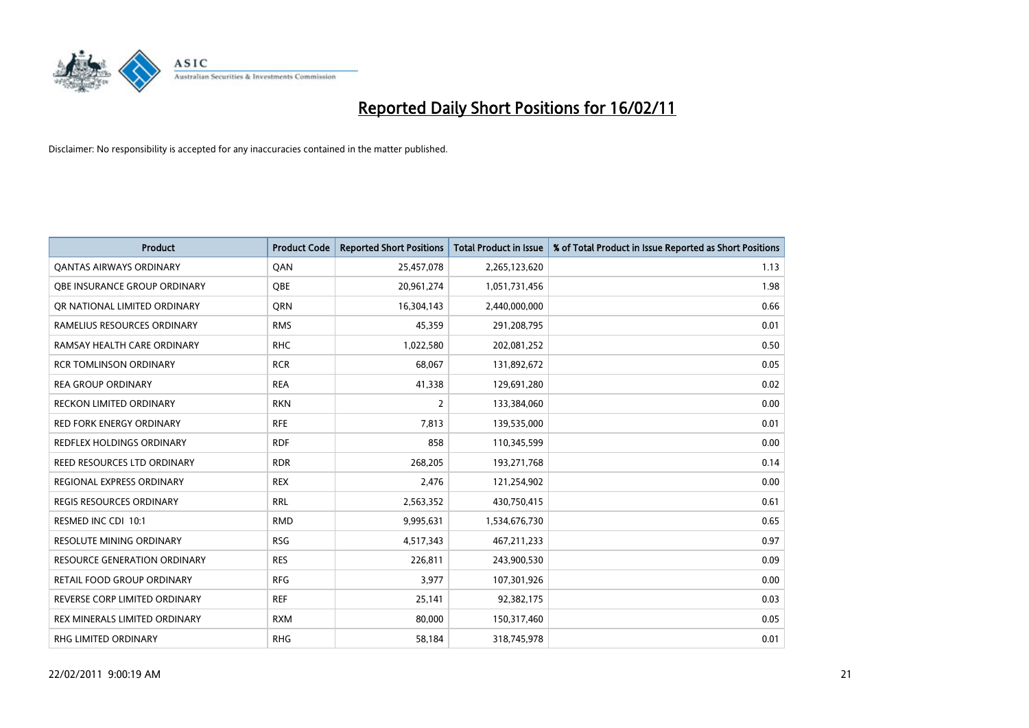

| <b>Product</b>                      | <b>Product Code</b> | <b>Reported Short Positions</b> | <b>Total Product in Issue</b> | % of Total Product in Issue Reported as Short Positions |
|-------------------------------------|---------------------|---------------------------------|-------------------------------|---------------------------------------------------------|
| <b>QANTAS AIRWAYS ORDINARY</b>      | QAN                 | 25,457,078                      | 2,265,123,620                 | 1.13                                                    |
| OBE INSURANCE GROUP ORDINARY        | <b>OBE</b>          | 20,961,274                      | 1,051,731,456                 | 1.98                                                    |
| OR NATIONAL LIMITED ORDINARY        | <b>ORN</b>          | 16,304,143                      | 2,440,000,000                 | 0.66                                                    |
| RAMELIUS RESOURCES ORDINARY         | <b>RMS</b>          | 45,359                          | 291,208,795                   | 0.01                                                    |
| RAMSAY HEALTH CARE ORDINARY         | <b>RHC</b>          | 1,022,580                       | 202,081,252                   | 0.50                                                    |
| <b>RCR TOMLINSON ORDINARY</b>       | <b>RCR</b>          | 68,067                          | 131,892,672                   | 0.05                                                    |
| <b>REA GROUP ORDINARY</b>           | <b>REA</b>          | 41,338                          | 129,691,280                   | 0.02                                                    |
| RECKON LIMITED ORDINARY             | <b>RKN</b>          | 2                               | 133,384,060                   | 0.00                                                    |
| RED FORK ENERGY ORDINARY            | <b>RFE</b>          | 7,813                           | 139,535,000                   | 0.01                                                    |
| REDFLEX HOLDINGS ORDINARY           | <b>RDF</b>          | 858                             | 110,345,599                   | 0.00                                                    |
| REED RESOURCES LTD ORDINARY         | <b>RDR</b>          | 268,205                         | 193,271,768                   | 0.14                                                    |
| REGIONAL EXPRESS ORDINARY           | <b>REX</b>          | 2,476                           | 121,254,902                   | 0.00                                                    |
| <b>REGIS RESOURCES ORDINARY</b>     | <b>RRL</b>          | 2,563,352                       | 430,750,415                   | 0.61                                                    |
| RESMED INC CDI 10:1                 | <b>RMD</b>          | 9,995,631                       | 1,534,676,730                 | 0.65                                                    |
| <b>RESOLUTE MINING ORDINARY</b>     | <b>RSG</b>          | 4,517,343                       | 467,211,233                   | 0.97                                                    |
| <b>RESOURCE GENERATION ORDINARY</b> | <b>RES</b>          | 226,811                         | 243,900,530                   | 0.09                                                    |
| RETAIL FOOD GROUP ORDINARY          | <b>RFG</b>          | 3,977                           | 107,301,926                   | 0.00                                                    |
| REVERSE CORP LIMITED ORDINARY       | <b>REF</b>          | 25,141                          | 92,382,175                    | 0.03                                                    |
| REX MINERALS LIMITED ORDINARY       | <b>RXM</b>          | 80,000                          | 150,317,460                   | 0.05                                                    |
| RHG LIMITED ORDINARY                | <b>RHG</b>          | 58,184                          | 318,745,978                   | 0.01                                                    |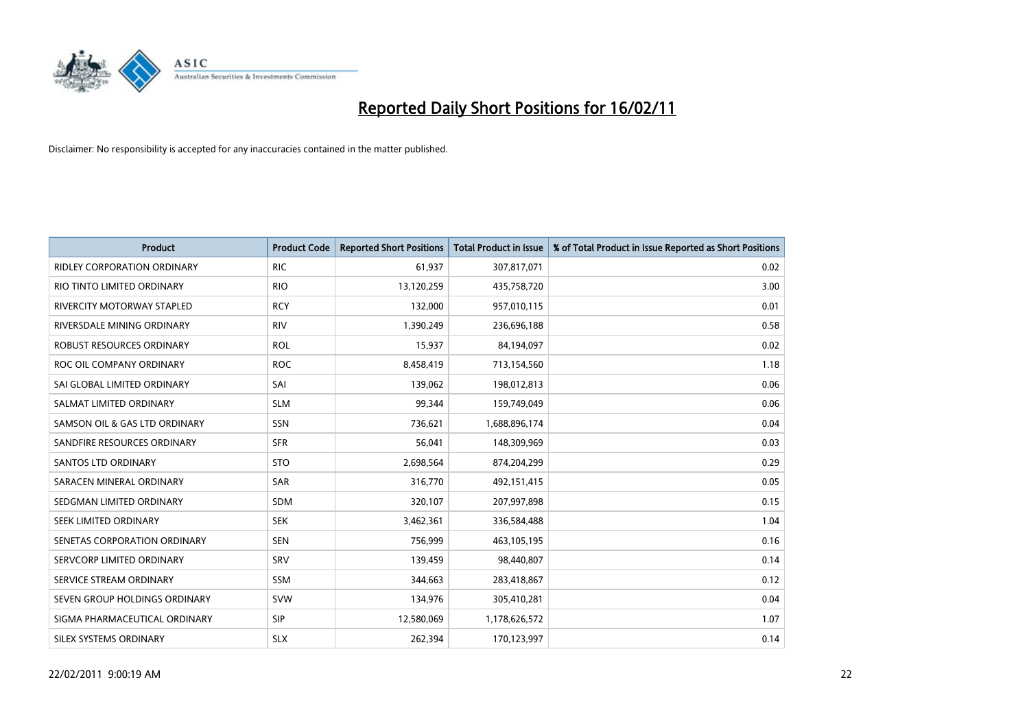

| Product                            | <b>Product Code</b> | <b>Reported Short Positions</b> | <b>Total Product in Issue</b> | % of Total Product in Issue Reported as Short Positions |
|------------------------------------|---------------------|---------------------------------|-------------------------------|---------------------------------------------------------|
| <b>RIDLEY CORPORATION ORDINARY</b> | <b>RIC</b>          | 61,937                          | 307,817,071                   | 0.02                                                    |
| RIO TINTO LIMITED ORDINARY         | <b>RIO</b>          | 13,120,259                      | 435,758,720                   | 3.00                                                    |
| RIVERCITY MOTORWAY STAPLED         | <b>RCY</b>          | 132,000                         | 957,010,115                   | 0.01                                                    |
| RIVERSDALE MINING ORDINARY         | <b>RIV</b>          | 1,390,249                       | 236,696,188                   | 0.58                                                    |
| <b>ROBUST RESOURCES ORDINARY</b>   | <b>ROL</b>          | 15,937                          | 84,194,097                    | 0.02                                                    |
| ROC OIL COMPANY ORDINARY           | <b>ROC</b>          | 8,458,419                       | 713,154,560                   | 1.18                                                    |
| SAI GLOBAL LIMITED ORDINARY        | SAI                 | 139,062                         | 198,012,813                   | 0.06                                                    |
| SALMAT LIMITED ORDINARY            | <b>SLM</b>          | 99,344                          | 159,749,049                   | 0.06                                                    |
| SAMSON OIL & GAS LTD ORDINARY      | <b>SSN</b>          | 736,621                         | 1,688,896,174                 | 0.04                                                    |
| SANDFIRE RESOURCES ORDINARY        | <b>SFR</b>          | 56,041                          | 148,309,969                   | 0.03                                                    |
| <b>SANTOS LTD ORDINARY</b>         | <b>STO</b>          | 2,698,564                       | 874,204,299                   | 0.29                                                    |
| SARACEN MINERAL ORDINARY           | SAR                 | 316,770                         | 492,151,415                   | 0.05                                                    |
| SEDGMAN LIMITED ORDINARY           | <b>SDM</b>          | 320,107                         | 207,997,898                   | 0.15                                                    |
| SEEK LIMITED ORDINARY              | <b>SEK</b>          | 3,462,361                       | 336,584,488                   | 1.04                                                    |
| SENETAS CORPORATION ORDINARY       | <b>SEN</b>          | 756,999                         | 463,105,195                   | 0.16                                                    |
| SERVCORP LIMITED ORDINARY          | SRV                 | 139,459                         | 98,440,807                    | 0.14                                                    |
| SERVICE STREAM ORDINARY            | <b>SSM</b>          | 344,663                         | 283,418,867                   | 0.12                                                    |
| SEVEN GROUP HOLDINGS ORDINARY      | <b>SVW</b>          | 134,976                         | 305,410,281                   | 0.04                                                    |
| SIGMA PHARMACEUTICAL ORDINARY      | <b>SIP</b>          | 12,580,069                      | 1,178,626,572                 | 1.07                                                    |
| SILEX SYSTEMS ORDINARY             | <b>SLX</b>          | 262,394                         | 170,123,997                   | 0.14                                                    |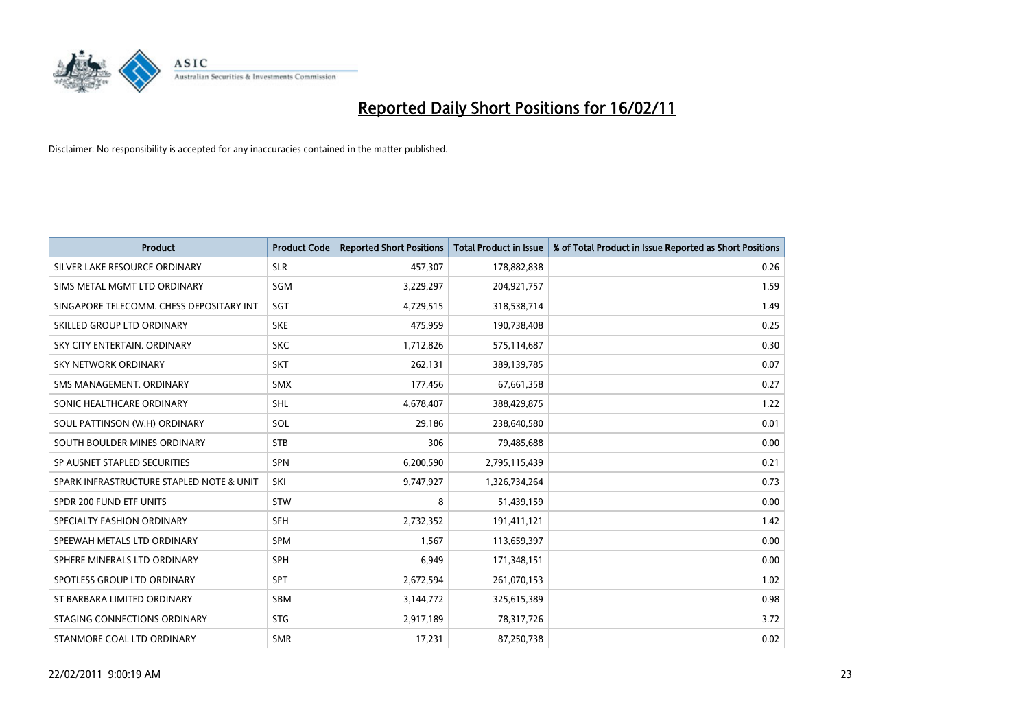

| <b>Product</b>                           | <b>Product Code</b> | <b>Reported Short Positions</b> | Total Product in Issue | % of Total Product in Issue Reported as Short Positions |
|------------------------------------------|---------------------|---------------------------------|------------------------|---------------------------------------------------------|
| SILVER LAKE RESOURCE ORDINARY            | <b>SLR</b>          | 457,307                         | 178,882,838            | 0.26                                                    |
| SIMS METAL MGMT LTD ORDINARY             | SGM                 | 3,229,297                       | 204,921,757            | 1.59                                                    |
| SINGAPORE TELECOMM. CHESS DEPOSITARY INT | SGT                 | 4,729,515                       | 318,538,714            | 1.49                                                    |
| SKILLED GROUP LTD ORDINARY               | <b>SKE</b>          | 475,959                         | 190,738,408            | 0.25                                                    |
| SKY CITY ENTERTAIN, ORDINARY             | <b>SKC</b>          | 1,712,826                       | 575,114,687            | 0.30                                                    |
| SKY NETWORK ORDINARY                     | <b>SKT</b>          | 262,131                         | 389,139,785            | 0.07                                                    |
| SMS MANAGEMENT, ORDINARY                 | <b>SMX</b>          | 177,456                         | 67,661,358             | 0.27                                                    |
| SONIC HEALTHCARE ORDINARY                | <b>SHL</b>          | 4,678,407                       | 388,429,875            | 1.22                                                    |
| SOUL PATTINSON (W.H) ORDINARY            | SOL                 | 29,186                          | 238,640,580            | 0.01                                                    |
| SOUTH BOULDER MINES ORDINARY             | <b>STB</b>          | 306                             | 79,485,688             | 0.00                                                    |
| SP AUSNET STAPLED SECURITIES             | <b>SPN</b>          | 6,200,590                       | 2,795,115,439          | 0.21                                                    |
| SPARK INFRASTRUCTURE STAPLED NOTE & UNIT | SKI                 | 9,747,927                       | 1,326,734,264          | 0.73                                                    |
| SPDR 200 FUND ETF UNITS                  | <b>STW</b>          | 8                               | 51,439,159             | 0.00                                                    |
| SPECIALTY FASHION ORDINARY               | <b>SFH</b>          | 2,732,352                       | 191,411,121            | 1.42                                                    |
| SPEEWAH METALS LTD ORDINARY              | <b>SPM</b>          | 1,567                           | 113,659,397            | 0.00                                                    |
| SPHERE MINERALS LTD ORDINARY             | <b>SPH</b>          | 6,949                           | 171,348,151            | 0.00                                                    |
| SPOTLESS GROUP LTD ORDINARY              | SPT                 | 2,672,594                       | 261,070,153            | 1.02                                                    |
| ST BARBARA LIMITED ORDINARY              | <b>SBM</b>          | 3,144,772                       | 325,615,389            | 0.98                                                    |
| STAGING CONNECTIONS ORDINARY             | <b>STG</b>          | 2,917,189                       | 78,317,726             | 3.72                                                    |
| STANMORE COAL LTD ORDINARY               | <b>SMR</b>          | 17,231                          | 87,250,738             | 0.02                                                    |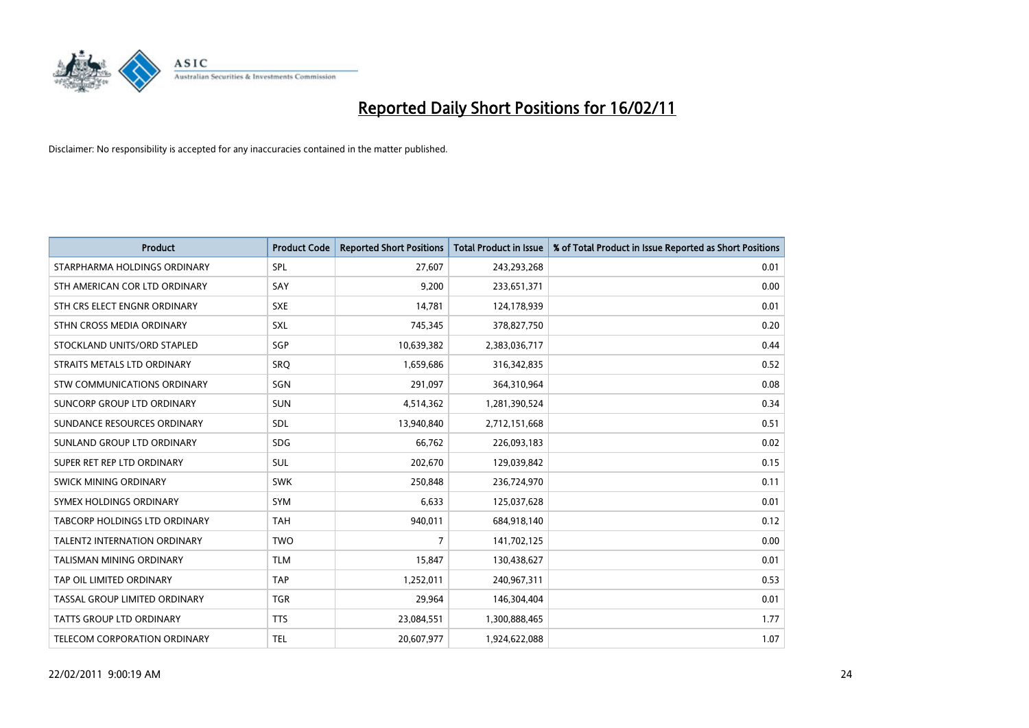

| Product                              | <b>Product Code</b> | <b>Reported Short Positions</b> | <b>Total Product in Issue</b> | % of Total Product in Issue Reported as Short Positions |
|--------------------------------------|---------------------|---------------------------------|-------------------------------|---------------------------------------------------------|
| STARPHARMA HOLDINGS ORDINARY         | SPL                 | 27,607                          | 243,293,268                   | 0.01                                                    |
| STH AMERICAN COR LTD ORDINARY        | SAY                 | 9,200                           | 233,651,371                   | 0.00                                                    |
| STH CRS ELECT ENGNR ORDINARY         | <b>SXE</b>          | 14,781                          | 124,178,939                   | 0.01                                                    |
| STHN CROSS MEDIA ORDINARY            | SXL                 | 745,345                         | 378,827,750                   | 0.20                                                    |
| STOCKLAND UNITS/ORD STAPLED          | SGP                 | 10,639,382                      | 2,383,036,717                 | 0.44                                                    |
| STRAITS METALS LTD ORDINARY          | SRQ                 | 1,659,686                       | 316,342,835                   | 0.52                                                    |
| <b>STW COMMUNICATIONS ORDINARY</b>   | SGN                 | 291.097                         | 364,310,964                   | 0.08                                                    |
| SUNCORP GROUP LTD ORDINARY           | <b>SUN</b>          | 4,514,362                       | 1,281,390,524                 | 0.34                                                    |
| SUNDANCE RESOURCES ORDINARY          | SDL                 | 13,940,840                      | 2,712,151,668                 | 0.51                                                    |
| SUNLAND GROUP LTD ORDINARY           | <b>SDG</b>          | 66,762                          | 226,093,183                   | 0.02                                                    |
| SUPER RET REP LTD ORDINARY           | SUL                 | 202,670                         | 129,039,842                   | 0.15                                                    |
| <b>SWICK MINING ORDINARY</b>         | <b>SWK</b>          | 250,848                         | 236,724,970                   | 0.11                                                    |
| SYMEX HOLDINGS ORDINARY              | <b>SYM</b>          | 6,633                           | 125,037,628                   | 0.01                                                    |
| <b>TABCORP HOLDINGS LTD ORDINARY</b> | <b>TAH</b>          | 940,011                         | 684,918,140                   | 0.12                                                    |
| <b>TALENT2 INTERNATION ORDINARY</b>  | <b>TWO</b>          | $\overline{7}$                  | 141,702,125                   | 0.00                                                    |
| <b>TALISMAN MINING ORDINARY</b>      | <b>TLM</b>          | 15,847                          | 130,438,627                   | 0.01                                                    |
| TAP OIL LIMITED ORDINARY             | <b>TAP</b>          | 1,252,011                       | 240,967,311                   | 0.53                                                    |
| TASSAL GROUP LIMITED ORDINARY        | <b>TGR</b>          | 29,964                          | 146,304,404                   | 0.01                                                    |
| <b>TATTS GROUP LTD ORDINARY</b>      | <b>TTS</b>          | 23,084,551                      | 1,300,888,465                 | 1.77                                                    |
| <b>TELECOM CORPORATION ORDINARY</b>  | <b>TEL</b>          | 20.607.977                      | 1,924,622,088                 | 1.07                                                    |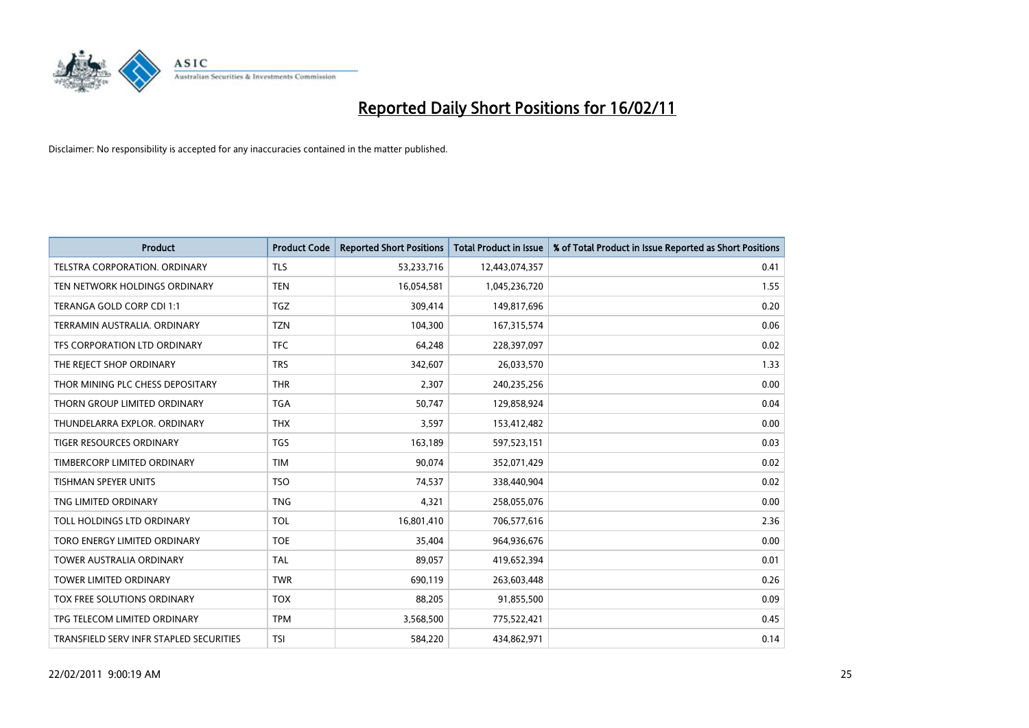

| <b>Product</b>                          | <b>Product Code</b> | <b>Reported Short Positions</b> | Total Product in Issue | % of Total Product in Issue Reported as Short Positions |
|-----------------------------------------|---------------------|---------------------------------|------------------------|---------------------------------------------------------|
| TELSTRA CORPORATION, ORDINARY           | TLS                 | 53,233,716                      | 12,443,074,357         | 0.41                                                    |
| TEN NETWORK HOLDINGS ORDINARY           | <b>TEN</b>          | 16,054,581                      | 1,045,236,720          | 1.55                                                    |
| TERANGA GOLD CORP CDI 1:1               | <b>TGZ</b>          | 309,414                         | 149,817,696            | 0.20                                                    |
| TERRAMIN AUSTRALIA, ORDINARY            | <b>TZN</b>          | 104,300                         | 167,315,574            | 0.06                                                    |
| TFS CORPORATION LTD ORDINARY            | <b>TFC</b>          | 64,248                          | 228,397,097            | 0.02                                                    |
| THE REJECT SHOP ORDINARY                | <b>TRS</b>          | 342,607                         | 26,033,570             | 1.33                                                    |
| THOR MINING PLC CHESS DEPOSITARY        | <b>THR</b>          | 2,307                           | 240,235,256            | 0.00                                                    |
| THORN GROUP LIMITED ORDINARY            | <b>TGA</b>          | 50,747                          | 129,858,924            | 0.04                                                    |
| THUNDELARRA EXPLOR. ORDINARY            | <b>THX</b>          | 3,597                           | 153,412,482            | 0.00                                                    |
| <b>TIGER RESOURCES ORDINARY</b>         | <b>TGS</b>          | 163,189                         | 597,523,151            | 0.03                                                    |
| TIMBERCORP LIMITED ORDINARY             | <b>TIM</b>          | 90,074                          | 352,071,429            | 0.02                                                    |
| <b>TISHMAN SPEYER UNITS</b>             | <b>TSO</b>          | 74,537                          | 338,440,904            | 0.02                                                    |
| TNG LIMITED ORDINARY                    | <b>TNG</b>          | 4,321                           | 258,055,076            | 0.00                                                    |
| <b>TOLL HOLDINGS LTD ORDINARY</b>       | <b>TOL</b>          | 16,801,410                      | 706,577,616            | 2.36                                                    |
| TORO ENERGY LIMITED ORDINARY            | <b>TOE</b>          | 35,404                          | 964,936,676            | 0.00                                                    |
| <b>TOWER AUSTRALIA ORDINARY</b>         | <b>TAL</b>          | 89,057                          | 419,652,394            | 0.01                                                    |
| <b>TOWER LIMITED ORDINARY</b>           | <b>TWR</b>          | 690,119                         | 263,603,448            | 0.26                                                    |
| TOX FREE SOLUTIONS ORDINARY             | <b>TOX</b>          | 88,205                          | 91,855,500             | 0.09                                                    |
| TPG TELECOM LIMITED ORDINARY            | <b>TPM</b>          | 3,568,500                       | 775,522,421            | 0.45                                                    |
| TRANSFIELD SERV INFR STAPLED SECURITIES | <b>TSI</b>          | 584,220                         | 434,862,971            | 0.14                                                    |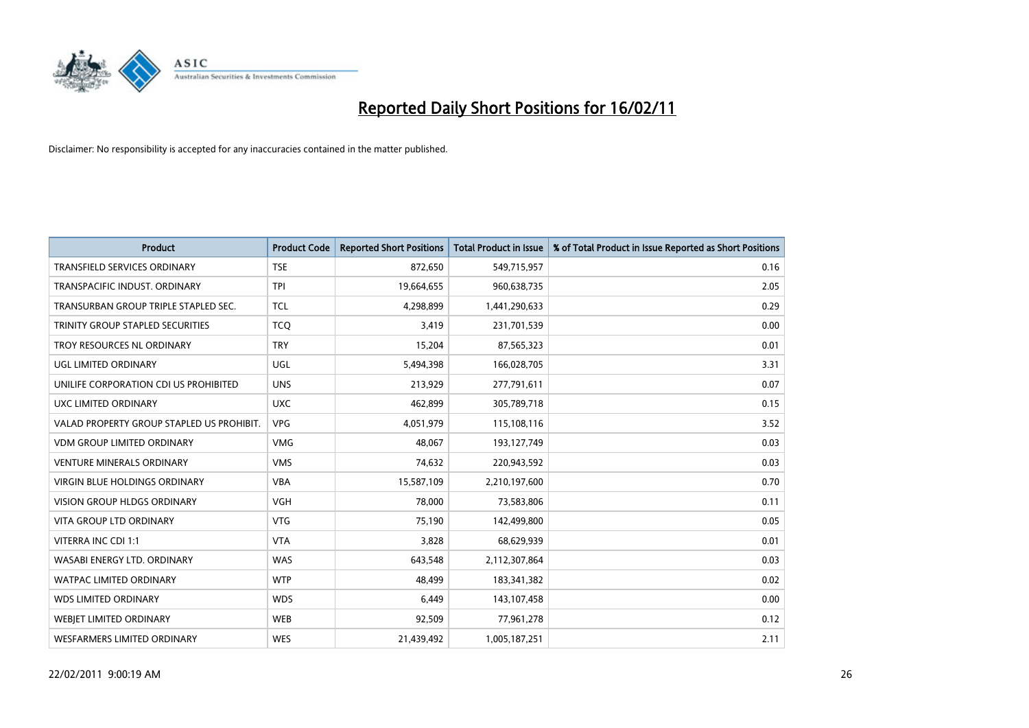

| <b>Product</b>                            | <b>Product Code</b> | <b>Reported Short Positions</b> | Total Product in Issue | % of Total Product in Issue Reported as Short Positions |
|-------------------------------------------|---------------------|---------------------------------|------------------------|---------------------------------------------------------|
| <b>TRANSFIELD SERVICES ORDINARY</b>       | <b>TSE</b>          | 872,650                         | 549,715,957            | 0.16                                                    |
| TRANSPACIFIC INDUST. ORDINARY             | <b>TPI</b>          | 19,664,655                      | 960,638,735            | 2.05                                                    |
| TRANSURBAN GROUP TRIPLE STAPLED SEC.      | <b>TCL</b>          | 4,298,899                       | 1,441,290,633          | 0.29                                                    |
| TRINITY GROUP STAPLED SECURITIES          | <b>TCQ</b>          | 3,419                           | 231,701,539            | 0.00                                                    |
| TROY RESOURCES NL ORDINARY                | <b>TRY</b>          | 15,204                          | 87,565,323             | 0.01                                                    |
| UGL LIMITED ORDINARY                      | <b>UGL</b>          | 5,494,398                       | 166,028,705            | 3.31                                                    |
| UNILIFE CORPORATION CDI US PROHIBITED     | <b>UNS</b>          | 213,929                         | 277,791,611            | 0.07                                                    |
| UXC LIMITED ORDINARY                      | <b>UXC</b>          | 462,899                         | 305,789,718            | 0.15                                                    |
| VALAD PROPERTY GROUP STAPLED US PROHIBIT. | <b>VPG</b>          | 4,051,979                       | 115,108,116            | 3.52                                                    |
| <b>VDM GROUP LIMITED ORDINARY</b>         | <b>VMG</b>          | 48.067                          | 193,127,749            | 0.03                                                    |
| <b>VENTURE MINERALS ORDINARY</b>          | <b>VMS</b>          | 74,632                          | 220,943,592            | 0.03                                                    |
| <b>VIRGIN BLUE HOLDINGS ORDINARY</b>      | <b>VBA</b>          | 15,587,109                      | 2,210,197,600          | 0.70                                                    |
| <b>VISION GROUP HLDGS ORDINARY</b>        | <b>VGH</b>          | 78.000                          | 73,583,806             | 0.11                                                    |
| <b>VITA GROUP LTD ORDINARY</b>            | <b>VTG</b>          | 75,190                          | 142,499,800            | 0.05                                                    |
| VITERRA INC CDI 1:1                       | <b>VTA</b>          | 3,828                           | 68,629,939             | 0.01                                                    |
| WASABI ENERGY LTD. ORDINARY               | <b>WAS</b>          | 643.548                         | 2,112,307,864          | 0.03                                                    |
| <b>WATPAC LIMITED ORDINARY</b>            | <b>WTP</b>          | 48,499                          | 183,341,382            | 0.02                                                    |
| WDS LIMITED ORDINARY                      | <b>WDS</b>          | 6,449                           | 143,107,458            | 0.00                                                    |
| <b>WEBIET LIMITED ORDINARY</b>            | <b>WEB</b>          | 92,509                          | 77,961,278             | 0.12                                                    |
| WESFARMERS LIMITED ORDINARY               | <b>WES</b>          | 21,439,492                      | 1,005,187,251          | 2.11                                                    |